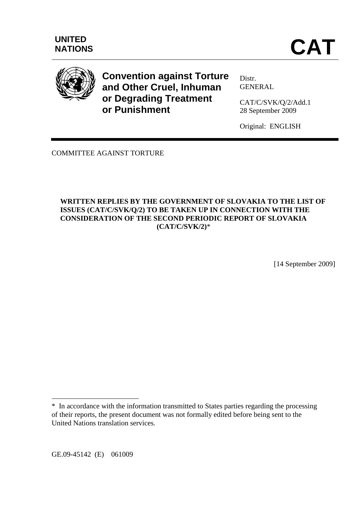

**Convention against Torture and Other Cruel, Inhuman or Degrading Treatment or Punishment** 

Distr. **GENERAL** 

CAT/C/SVK/Q/2/Add.1 28 September 2009

Original: ENGLISH

COMMITTEE AGAINST TORTURE

# **WRITTEN REPLIES BY THE GOVERNMENT OF SLOVAKIA TO THE LIST OF ISSUES (CAT/C/SVK/Q/2) TO BE TAKEN UP IN CONNECTION WITH THE CONSIDERATION OF THE SECOND PERIODIC REPORT OF SLOVAKIA (CAT/C/SVK/2)**\*

[14 September 2009]

GE.09-45142 (E) 061009

 $\overline{a}$ 

<sup>\*</sup> In accordance with the information transmitted to States parties regarding the processing of their reports, the present document was not formally edited before being sent to the United Nations translation services.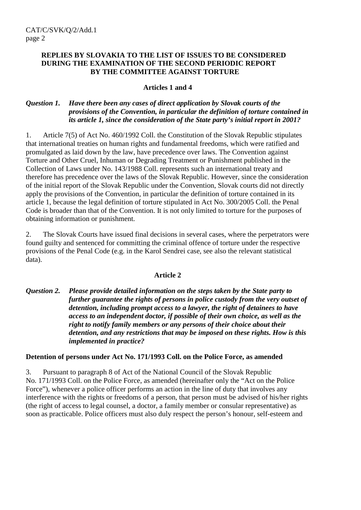#### **REPLIES BY SLOVAKIA TO THE LIST OF ISSUES TO BE CONSIDERED DURING THE EXAMINATION OF THE SECOND PERIODIC REPORT BY THE COMMITTEE AGAINST TORTURE**

# **Articles 1 and 4**

# *Question 1. Have there been any cases of direct application by Slovak courts of the provisions of the Convention, in particular the definition of torture contained in its article 1, since the consideration of the State party's initial report in 2001?*

1. Article 7(5) of Act No. 460/1992 Coll. the Constitution of the Slovak Republic stipulates that international treaties on human rights and fundamental freedoms, which were ratified and promulgated as laid down by the law, have precedence over laws. The Convention against Torture and Other Cruel, Inhuman or Degrading Treatment or Punishment published in the Collection of Laws under No. 143/1988 Coll. represents such an international treaty and therefore has precedence over the laws of the Slovak Republic. However, since the consideration of the initial report of the Slovak Republic under the Convention, Slovak courts did not directly apply the provisions of the Convention, in particular the definition of torture contained in its article 1, because the legal definition of torture stipulated in Act No. 300/2005 Coll. the Penal Code is broader than that of the Convention. It is not only limited to torture for the purposes of obtaining information or punishment.

2. The Slovak Courts have issued final decisions in several cases, where the perpetrators were found guilty and sentenced for committing the criminal offence of torture under the respective provisions of the Penal Code (e.g. in the Karol Sendrei case, see also the relevant statistical data).

#### **Article 2**

# *Question 2. Please provide detailed information on the steps taken by the State party to further guarantee the rights of persons in police custody from the very outset of detention, including prompt access to a lawyer, the right of detainees to have access to an independent doctor, if possible of their own choice, as well as the right to notify family members or any persons of their choice about their detention, and any restrictions that may be imposed on these rights. How is this implemented in practice?*

#### **Detention of persons under Act No. 171/1993 Coll. on the Police Force, as amended**

3. Pursuant to paragraph 8 of Act of the National Council of the Slovak Republic No. 171/1993 Coll. on the Police Force, as amended (hereinafter only the "Act on the Police Force"), whenever a police officer performs an action in the line of duty that involves any interference with the rights or freedoms of a person, that person must be advised of his/her rights (the right of access to legal counsel, a doctor, a family member or consular representative) as soon as practicable. Police officers must also duly respect the person's honour, self-esteem and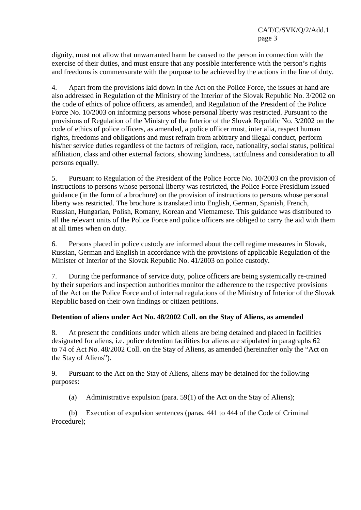dignity, must not allow that unwarranted harm be caused to the person in connection with the exercise of their duties, and must ensure that any possible interference with the person's rights and freedoms is commensurate with the purpose to be achieved by the actions in the line of duty.

4. Apart from the provisions laid down in the Act on the Police Force, the issues at hand are also addressed in Regulation of the Ministry of the Interior of the Slovak Republic No. 3/2002 on the code of ethics of police officers, as amended, and Regulation of the President of the Police Force No. 10/2003 on informing persons whose personal liberty was restricted. Pursuant to the provisions of Regulation of the Ministry of the Interior of the Slovak Republic No. 3/2002 on the code of ethics of police officers, as amended, a police officer must, inter alia, respect human rights, freedoms and obligations and must refrain from arbitrary and illegal conduct, perform his/her service duties regardless of the factors of religion, race, nationality, social status, political affiliation, class and other external factors, showing kindness, tactfulness and consideration to all persons equally.

5. Pursuant to Regulation of the President of the Police Force No. 10/2003 on the provision of instructions to persons whose personal liberty was restricted, the Police Force Presidium issued guidance (in the form of a brochure) on the provision of instructions to persons whose personal liberty was restricted. The brochure is translated into English, German, Spanish, French, Russian, Hungarian, Polish, Romany, Korean and Vietnamese. This guidance was distributed to all the relevant units of the Police Force and police officers are obliged to carry the aid with them at all times when on duty.

6. Persons placed in police custody are informed about the cell regime measures in Slovak, Russian, German and English in accordance with the provisions of applicable Regulation of the Minister of Interior of the Slovak Republic No. 41/2003 on police custody.

7. During the performance of service duty, police officers are being systemically re-trained by their superiors and inspection authorities monitor the adherence to the respective provisions of the Act on the Police Force and of internal regulations of the Ministry of Interior of the Slovak Republic based on their own findings or citizen petitions.

# **Detention of aliens under Act No. 48/2002 Coll. on the Stay of Aliens, as amended**

8. At present the conditions under which aliens are being detained and placed in facilities designated for aliens, i.e. police detention facilities for aliens are stipulated in paragraphs 62 to 74 of Act No. 48/2002 Coll. on the Stay of Aliens, as amended (hereinafter only the "Act on the Stay of Aliens").

9. Pursuant to the Act on the Stay of Aliens, aliens may be detained for the following purposes:

(a) Administrative expulsion (para. 59(1) of the Act on the Stay of Aliens);

 (b) Execution of expulsion sentences (paras. 441 to 444 of the Code of Criminal Procedure);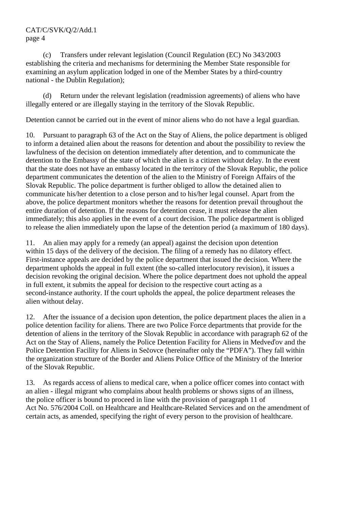(c) Transfers under relevant legislation (Council Regulation (EC) No 343/2003 establishing the criteria and mechanisms for determining the Member State responsible for examining an asylum application lodged in one of the Member States by a third-country national - the Dublin Regulation);

 (d) Return under the relevant legislation (readmission agreements) of aliens who have illegally entered or are illegally staying in the territory of the Slovak Republic.

Detention cannot be carried out in the event of minor aliens who do not have a legal guardian.

10. Pursuant to paragraph 63 of the Act on the Stay of Aliens, the police department is obliged to inform a detained alien about the reasons for detention and about the possibility to review the lawfulness of the decision on detention immediately after detention, and to communicate the detention to the Embassy of the state of which the alien is a citizen without delay. In the event that the state does not have an embassy located in the territory of the Slovak Republic, the police department communicates the detention of the alien to the Ministry of Foreign Affairs of the Slovak Republic. The police department is further obliged to allow the detained alien to communicate his/her detention to a close person and to his/her legal counsel. Apart from the above, the police department monitors whether the reasons for detention prevail throughout the entire duration of detention. If the reasons for detention cease, it must release the alien immediately; this also applies in the event of a court decision. The police department is obliged to release the alien immediately upon the lapse of the detention period (a maximum of 180 days).

11. An alien may apply for a remedy (an appeal) against the decision upon detention within 15 days of the delivery of the decision. The filing of a remedy has no dilatory effect. First-instance appeals are decided by the police department that issued the decision. Where the department upholds the appeal in full extent (the so-called interlocutory revision), it issues a decision revoking the original decision. Where the police department does not uphold the appeal in full extent, it submits the appeal for decision to the respective court acting as a second-instance authority. If the court upholds the appeal, the police department releases the alien without delay.

12. After the issuance of a decision upon detention, the police department places the alien in a police detention facility for aliens. There are two Police Force departments that provide for the detention of aliens in the territory of the Slovak Republic in accordance with paragraph 62 of the Act on the Stay of Aliens, namely the Police Detention Facility for Aliens in Medveďov and the Police Detention Facility for Aliens in Sečovce (hereinafter only the "PDFA"). They fall within the organization structure of the Border and Aliens Police Office of the Ministry of the Interior of the Slovak Republic.

13. As regards access of aliens to medical care, when a police officer comes into contact with an alien - illegal migrant who complains about health problems or shows signs of an illness, the police officer is bound to proceed in line with the provision of paragraph 11 of Act No. 576/2004 Coll. on Healthcare and Healthcare-Related Services and on the amendment of certain acts, as amended, specifying the right of every person to the provision of healthcare.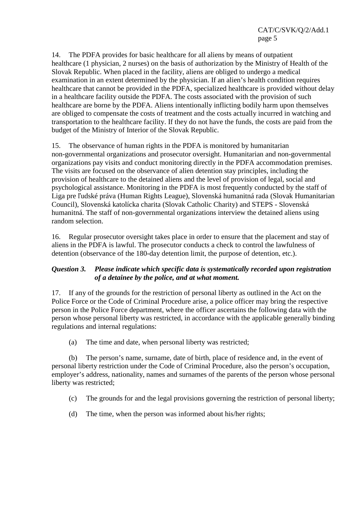14. The PDFA provides for basic healthcare for all aliens by means of outpatient healthcare (1 physician, 2 nurses) on the basis of authorization by the Ministry of Health of the Slovak Republic. When placed in the facility, aliens are obliged to undergo a medical examination in an extent determined by the physician. If an alien's health condition requires healthcare that cannot be provided in the PDFA, specialized healthcare is provided without delay in a healthcare facility outside the PDFA. The costs associated with the provision of such healthcare are borne by the PDFA. Aliens intentionally inflicting bodily harm upon themselves are obliged to compensate the costs of treatment and the costs actually incurred in watching and transportation to the healthcare facility. If they do not have the funds, the costs are paid from the budget of the Ministry of Interior of the Slovak Republic.

15. The observance of human rights in the PDFA is monitored by humanitarian non-governmental organizations and prosecutor oversight. Humanitarian and non-governmental organizations pay visits and conduct monitoring directly in the PDFA accommodation premises. The visits are focused on the observance of alien detention stay principles, including the provision of healthcare to the detained aliens and the level of provision of legal, social and psychological assistance. Monitoring in the PDFA is most frequently conducted by the staff of Liga pre ľudské práva (Human Rights League), Slovenská humanitná rada (Slovak Humanitarian Council), Slovenská katolícka charita (Slovak Catholic Charity) and STEPS - Slovenská humanitná. The staff of non-governmental organizations interview the detained aliens using random selection.

16. Regular prosecutor oversight takes place in order to ensure that the placement and stay of aliens in the PDFA is lawful. The prosecutor conducts a check to control the lawfulness of detention (observance of the 180-day detention limit, the purpose of detention, etc.).

# *Question 3. Please indicate which specific data is systematically recorded upon registration of a detainee by the police, and at what moment.*

17. If any of the grounds for the restriction of personal liberty as outlined in the Act on the Police Force or the Code of Criminal Procedure arise, a police officer may bring the respective person in the Police Force department, where the officer ascertains the following data with the person whose personal liberty was restricted, in accordance with the applicable generally binding regulations and internal regulations:

(a) The time and date, when personal liberty was restricted;

 (b) The person's name, surname, date of birth, place of residence and, in the event of personal liberty restriction under the Code of Criminal Procedure, also the person's occupation, employer's address, nationality, names and surnames of the parents of the person whose personal liberty was restricted;

- (c) The grounds for and the legal provisions governing the restriction of personal liberty;
- (d) The time, when the person was informed about his/her rights;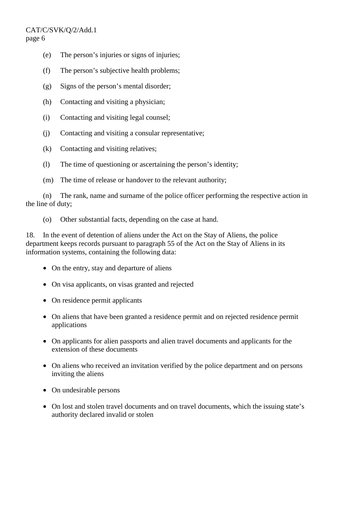- (e) The person's injuries or signs of injuries;
- (f) The person's subjective health problems;
- (g) Signs of the person's mental disorder;
- (h) Contacting and visiting a physician;
- (i) Contacting and visiting legal counsel;
- (j) Contacting and visiting a consular representative;
- (k) Contacting and visiting relatives;
- (l) The time of questioning or ascertaining the person's identity;
- (m) The time of release or handover to the relevant authority;

 (n) The rank, name and surname of the police officer performing the respective action in the line of duty;

(o) Other substantial facts, depending on the case at hand.

18. In the event of detention of aliens under the Act on the Stay of Aliens, the police department keeps records pursuant to paragraph 55 of the Act on the Stay of Aliens in its information systems, containing the following data:

- On the entry, stay and departure of aliens
- On visa applicants, on visas granted and rejected
- On residence permit applicants
- On aliens that have been granted a residence permit and on rejected residence permit applications
- On applicants for alien passports and alien travel documents and applicants for the extension of these documents
- On aliens who received an invitation verified by the police department and on persons inviting the aliens
- On undesirable persons
- On lost and stolen travel documents and on travel documents, which the issuing state's authority declared invalid or stolen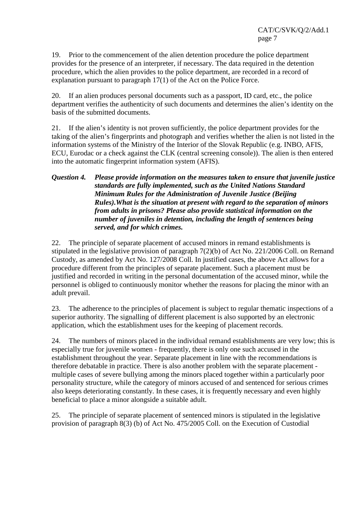19. Prior to the commencement of the alien detention procedure the police department provides for the presence of an interpreter, if necessary. The data required in the detention procedure, which the alien provides to the police department, are recorded in a record of explanation pursuant to paragraph 17(1) of the Act on the Police Force.

20. If an alien produces personal documents such as a passport, ID card, etc., the police department verifies the authenticity of such documents and determines the alien's identity on the basis of the submitted documents.

21. If the alien's identity is not proven sufficiently, the police department provides for the taking of the alien's fingerprints and photograph and verifies whether the alien is not listed in the information systems of the Ministry of the Interior of the Slovak Republic (e.g. INBO, AFIS, ECU, Eurodac or a check against the CLK (central screening console)). The alien is then entered into the automatic fingerprint information system (AFIS).

# *Question 4. Please provide information on the measures taken to ensure that juvenile justice standards are fully implemented, such as the United Nations Standard Minimum Rules for the Administration of Juvenile Justice (Beijing Rules).What is the situation at present with regard to the separation of minors from adults in prisons? Please also provide statistical information on the number of juveniles in detention, including the length of sentences being served, and for which crimes.*

22. The principle of separate placement of accused minors in remand establishments is stipulated in the legislative provision of paragraph 7(2)(b) of Act No. 221/2006 Coll. on Remand Custody, as amended by Act No. 127/2008 Coll. In justified cases, the above Act allows for a procedure different from the principles of separate placement. Such a placement must be justified and recorded in writing in the personal documentation of the accused minor, while the personnel is obliged to continuously monitor whether the reasons for placing the minor with an adult prevail.

23. The adherence to the principles of placement is subject to regular thematic inspections of a superior authority. The signalling of different placement is also supported by an electronic application, which the establishment uses for the keeping of placement records.

24. The numbers of minors placed in the individual remand establishments are very low; this is especially true for juvenile women - frequently, there is only one such accused in the establishment throughout the year. Separate placement in line with the recommendations is therefore debatable in practice. There is also another problem with the separate placement multiple cases of severe bullying among the minors placed together within a particularly poor personality structure, while the category of minors accused of and sentenced for serious crimes also keeps deteriorating constantly. In these cases, it is frequently necessary and even highly beneficial to place a minor alongside a suitable adult.

25. The principle of separate placement of sentenced minors is stipulated in the legislative provision of paragraph 8(3) (b) of Act No. 475/2005 Coll. on the Execution of Custodial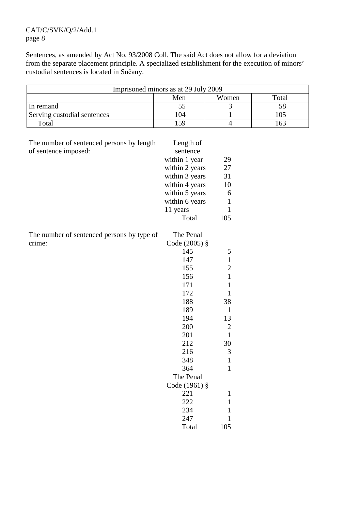Sentences, as amended by Act No. 93/2008 Coll. The said Act does not allow for a deviation from the separate placement principle. A specialized establishment for the execution of minors' custodial sentences is located in Sučany.

| Imprisoned minors as at 29 July 2009 |      |  |  |  |  |  |  |  |  |  |  |
|--------------------------------------|------|--|--|--|--|--|--|--|--|--|--|
| Total<br>Men<br>Women                |      |  |  |  |  |  |  |  |  |  |  |
| In remand                            |      |  |  |  |  |  |  |  |  |  |  |
| Serving custodial sentences          | l 04 |  |  |  |  |  |  |  |  |  |  |
| Total                                | 59   |  |  |  |  |  |  |  |  |  |  |

| The number of sentenced persons by length  | Length of      |                |
|--------------------------------------------|----------------|----------------|
| of sentence imposed:                       | sentence       |                |
|                                            | within 1 year  | 29             |
|                                            | within 2 years | 27             |
|                                            | within 3 years | 31             |
|                                            | within 4 years | 10             |
|                                            | within 5 years | 6              |
|                                            | within 6 years | $\mathbf{1}$   |
|                                            | 11 years       | $\mathbf{1}$   |
|                                            | Total          | 105            |
| The number of sentenced persons by type of | The Penal      |                |
| crime:                                     | Code (2005) §  |                |
|                                            | 145            | 5              |
|                                            | 147            | $\mathbf{1}$   |
|                                            | 155            | $\overline{c}$ |
|                                            | 156            | $\mathbf{1}$   |
|                                            | 171            | $\mathbf{1}$   |
|                                            | 172            | $\mathbf{1}$   |
|                                            | 188            | 38             |
|                                            | 189            | $\mathbf{1}$   |
|                                            | 194            | 13             |
|                                            | 200            | $\overline{2}$ |
|                                            | 201            | $\mathbf{1}$   |
|                                            | 212            | 30             |
|                                            | 216            | 3              |
|                                            | 348            | $\mathbf{1}$   |
|                                            | 364            | $\mathbf{1}$   |
|                                            | The Penal      |                |
|                                            | Code (1961) §  |                |
|                                            | 221            | $\mathbf{1}$   |
|                                            | 222            | $\mathbf{1}$   |
|                                            | 234            | $\mathbf{1}$   |
|                                            | 247            | $\mathbf{1}$   |
|                                            | Total          | 105            |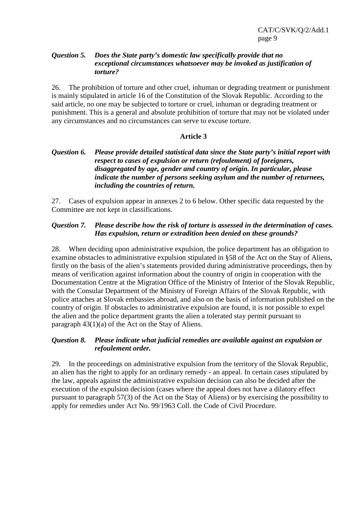# *Question 5. Does the State party's domestic law specifically provide that no exceptional circumstances whatsoever may be invoked as justification of torture?*

26. The prohibition of torture and other cruel, inhuman or degrading treatment or punishment is mainly stipulated in article 16 of the Constitution of the Slovak Republic. According to the said article, no one may be subjected to torture or cruel, inhuman or degrading treatment or punishment. This is a general and absolute prohibition of torture that may not be violated under any circumstances and no circumstances can serve to excuse torture.

# **Article 3**

# *Question 6. Please provide detailed statistical data since the State party's initial report with respect to cases of expulsion or return (refoulement) of foreigners, disaggregated by age, gender and country of origin. In particular, please indicate the number of persons seeking asylum and the number of returnees, including the countries of return.*

27. Cases of expulsion appear in annexes 2 to 6 below. Other specific data requested by the Committee are not kept in classifications.

# *Question 7. Please describe how the risk of torture is assessed in the determination of cases. Has expulsion, return or extradition been denied on these grounds?*

28. When deciding upon administrative expulsion, the police department has an obligation to examine obstacles to administrative expulsion stipulated in §58 of the Act on the Stay of Aliens, firstly on the basis of the alien's statements provided during administrative proceedings, then by means of verification against information about the country of origin in cooperation with the Documentation Centre at the Migration Office of the Ministry of Interior of the Slovak Republic, with the Consular Department of the Ministry of Foreign Affairs of the Slovak Republic, with police attaches at Slovak embassies abroad, and also on the basis of information published on the country of origin. If obstacles to administrative expulsion are found, it is not possible to expel the alien and the police department grants the alien a tolerated stay permit pursuant to paragraph 43(1)(a) of the Act on the Stay of Aliens.

# *Question 8. Please indicate what judicial remedies are available against an expulsion or refoulement order.*

29. In the proceedings on administrative expulsion from the territory of the Slovak Republic, an alien has the right to apply for an ordinary remedy - an appeal. In certain cases stipulated by the law, appeals against the administrative expulsion decision can also be decided after the execution of the expulsion decision (cases where the appeal does not have a dilatory effect pursuant to paragraph 57(3) of the Act on the Stay of Aliens) or by exercising the possibility to apply for remedies under Act No. 99/1963 Coll. the Code of Civil Procedure.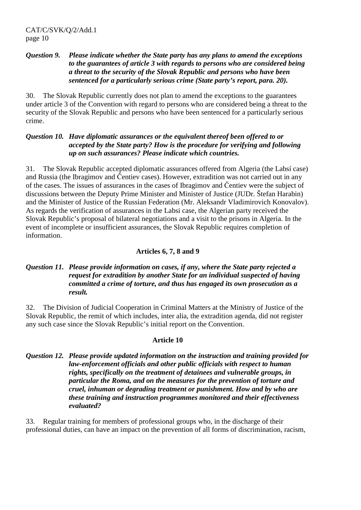# *Question 9. Please indicate whether the State party has any plans to amend the exceptions to the guarantees of article 3 with regards to persons who are considered being a threat to the security of the Slovak Republic and persons who have been sentenced for a particularly serious crime (State party's report, para. 20).*

30. The Slovak Republic currently does not plan to amend the exceptions to the guarantees under article 3 of the Convention with regard to persons who are considered being a threat to the security of the Slovak Republic and persons who have been sentenced for a particularly serious crime.

# *Question 10. Have diplomatic assurances or the equivalent thereof been offered to or accepted by the State party? How is the procedure for verifying and following up on such assurances? Please indicate which countries.*

31. The Slovak Republic accepted diplomatic assurances offered from Algeria (the Labsí case) and Russia (the Ibragimov and Čentiev cases). However, extradition was not carried out in any of the cases. The issues of assurances in the cases of Ibragimov and Čentiev were the subject of discussions between the Deputy Prime Minister and Minister of Justice (JUDr. Štefan Harabin) and the Minister of Justice of the Russian Federation (Mr. Aleksandr Vladimirovich Konovalov). As regards the verification of assurances in the Labsi case, the Algerian party received the Slovak Republic's proposal of bilateral negotiations and a visit to the prisons in Algeria. In the event of incomplete or insufficient assurances, the Slovak Republic requires completion of information.

# **Articles 6, 7, 8 and 9**

# *Question 11. Please provide information on cases, if any, where the State party rejected a request for extradition by another State for an individual suspected of having committed a crime of torture, and thus has engaged its own prosecution as a result.*

32. The Division of Judicial Cooperation in Criminal Matters at the Ministry of Justice of the Slovak Republic, the remit of which includes, inter alia, the extradition agenda, did not register any such case since the Slovak Republic's initial report on the Convention.

# **Article 10**

# *Question 12. Please provide updated information on the instruction and training provided for law-enforcement officials and other public officials with respect to human rights, specifically on the treatment of detainees and vulnerable groups, in particular the Roma, and on the measures for the prevention of torture and cruel, inhuman or degrading treatment or punishment. How and by who are these training and instruction programmes monitored and their effectiveness evaluated?*

33. Regular training for members of professional groups who, in the discharge of their professional duties, can have an impact on the prevention of all forms of discrimination, racism,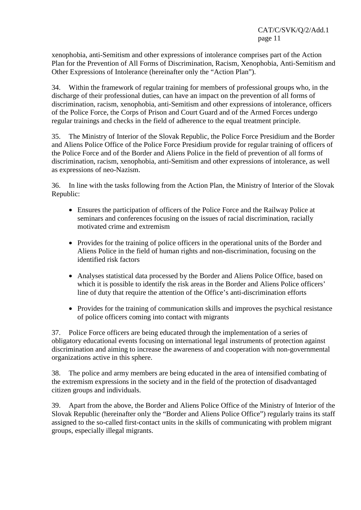xenophobia, anti-Semitism and other expressions of intolerance comprises part of the Action Plan for the Prevention of All Forms of Discrimination, Racism, Xenophobia, Anti-Semitism and Other Expressions of Intolerance (hereinafter only the "Action Plan").

34. Within the framework of regular training for members of professional groups who, in the discharge of their professional duties, can have an impact on the prevention of all forms of discrimination, racism, xenophobia, anti-Semitism and other expressions of intolerance, officers of the Police Force, the Corps of Prison and Court Guard and of the Armed Forces undergo regular trainings and checks in the field of adherence to the equal treatment principle.

35. The Ministry of Interior of the Slovak Republic, the Police Force Presidium and the Border and Aliens Police Office of the Police Force Presidium provide for regular training of officers of the Police Force and of the Border and Aliens Police in the field of prevention of all forms of discrimination, racism, xenophobia, anti-Semitism and other expressions of intolerance, as well as expressions of neo-Nazism.

36. In line with the tasks following from the Action Plan, the Ministry of Interior of the Slovak Republic:

- Ensures the participation of officers of the Police Force and the Railway Police at seminars and conferences focusing on the issues of racial discrimination, racially motivated crime and extremism
- Provides for the training of police officers in the operational units of the Border and Aliens Police in the field of human rights and non-discrimination, focusing on the identified risk factors
- Analyses statistical data processed by the Border and Aliens Police Office, based on which it is possible to identify the risk areas in the Border and Aliens Police officers' line of duty that require the attention of the Office's anti-discrimination efforts
- Provides for the training of communication skills and improves the psychical resistance of police officers coming into contact with migrants

37. Police Force officers are being educated through the implementation of a series of obligatory educational events focusing on international legal instruments of protection against discrimination and aiming to increase the awareness of and cooperation with non-governmental organizations active in this sphere.

38. The police and army members are being educated in the area of intensified combating of the extremism expressions in the society and in the field of the protection of disadvantaged citizen groups and individuals.

39. Apart from the above, the Border and Aliens Police Office of the Ministry of Interior of the Slovak Republic (hereinafter only the "Border and Aliens Police Office") regularly trains its staff assigned to the so-called first-contact units in the skills of communicating with problem migrant groups, especially illegal migrants.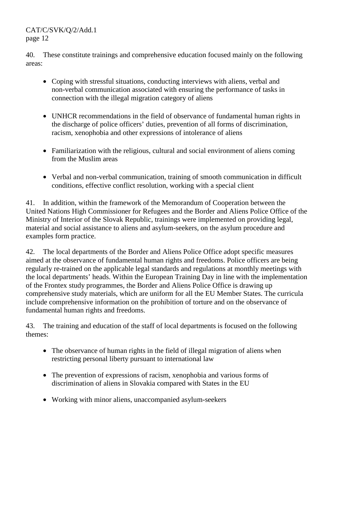40. These constitute trainings and comprehensive education focused mainly on the following areas:

- Coping with stressful situations, conducting interviews with aliens, verbal and non-verbal communication associated with ensuring the performance of tasks in connection with the illegal migration category of aliens
- UNHCR recommendations in the field of observance of fundamental human rights in the discharge of police officers' duties, prevention of all forms of discrimination, racism, xenophobia and other expressions of intolerance of aliens
- Familiarization with the religious, cultural and social environment of aliens coming from the Muslim areas
- Verbal and non-verbal communication, training of smooth communication in difficult conditions, effective conflict resolution, working with a special client

41. In addition, within the framework of the Memorandum of Cooperation between the United Nations High Commissioner for Refugees and the Border and Aliens Police Office of the Ministry of Interior of the Slovak Republic, trainings were implemented on providing legal, material and social assistance to aliens and asylum-seekers, on the asylum procedure and examples form practice.

42. The local departments of the Border and Aliens Police Office adopt specific measures aimed at the observance of fundamental human rights and freedoms. Police officers are being regularly re-trained on the applicable legal standards and regulations at monthly meetings with the local departments' heads. Within the European Training Day in line with the implementation of the Frontex study programmes, the Border and Aliens Police Office is drawing up comprehensive study materials, which are uniform for all the EU Member States. The curricula include comprehensive information on the prohibition of torture and on the observance of fundamental human rights and freedoms.

43. The training and education of the staff of local departments is focused on the following themes:

- The observance of human rights in the field of illegal migration of aliens when restricting personal liberty pursuant to international law
- The prevention of expressions of racism, xenophobia and various forms of discrimination of aliens in Slovakia compared with States in the EU
- Working with minor aliens, unaccompanied asylum-seekers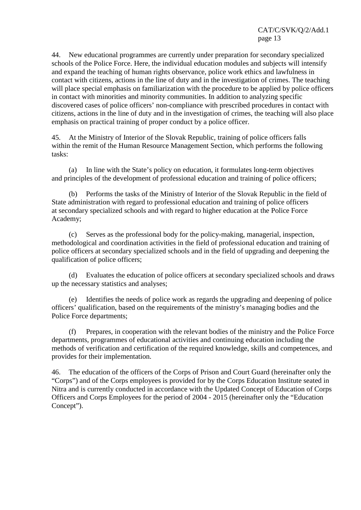44. New educational programmes are currently under preparation for secondary specialized schools of the Police Force. Here, the individual education modules and subjects will intensify and expand the teaching of human rights observance, police work ethics and lawfulness in contact with citizens, actions in the line of duty and in the investigation of crimes. The teaching will place special emphasis on familiarization with the procedure to be applied by police officers in contact with minorities and minority communities. In addition to analyzing specific discovered cases of police officers' non-compliance with prescribed procedures in contact with citizens, actions in the line of duty and in the investigation of crimes, the teaching will also place emphasis on practical training of proper conduct by a police officer.

45. At the Ministry of Interior of the Slovak Republic, training of police officers falls within the remit of the Human Resource Management Section, which performs the following tasks:

 (a) In line with the State's policy on education, it formulates long-term objectives and principles of the development of professional education and training of police officers;

 (b) Performs the tasks of the Ministry of Interior of the Slovak Republic in the field of State administration with regard to professional education and training of police officers at secondary specialized schools and with regard to higher education at the Police Force Academy;

 (c) Serves as the professional body for the policy-making, managerial, inspection, methodological and coordination activities in the field of professional education and training of police officers at secondary specialized schools and in the field of upgrading and deepening the qualification of police officers;

 (d) Evaluates the education of police officers at secondary specialized schools and draws up the necessary statistics and analyses;

 (e) Identifies the needs of police work as regards the upgrading and deepening of police officers' qualification, based on the requirements of the ministry's managing bodies and the Police Force departments;

 (f) Prepares, in cooperation with the relevant bodies of the ministry and the Police Force departments, programmes of educational activities and continuing education including the methods of verification and certification of the required knowledge, skills and competences, and provides for their implementation.

46. The education of the officers of the Corps of Prison and Court Guard (hereinafter only the "Corps") and of the Corps employees is provided for by the Corps Education Institute seated in Nitra and is currently conducted in accordance with the Updated Concept of Education of Corps Officers and Corps Employees for the period of 2004 - 2015 (hereinafter only the "Education Concept").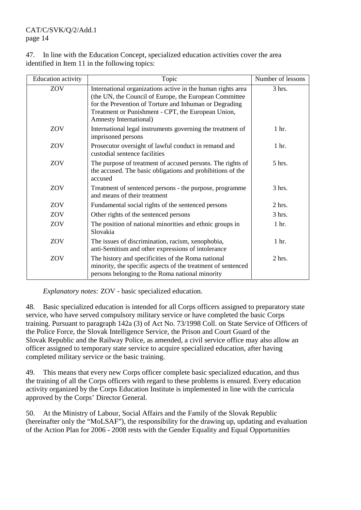47. In line with the Education Concept, specialized education activities cover the area identified in Item 11 in the following topics:

| <b>Education</b> activity | Topic                                                                                                                                                                                                                                                           | Number of lessons |
|---------------------------|-----------------------------------------------------------------------------------------------------------------------------------------------------------------------------------------------------------------------------------------------------------------|-------------------|
| ZOV                       | International organizations active in the human rights area<br>(the UN, the Council of Europe, the European Committee<br>for the Prevention of Torture and Inhuman or Degrading<br>Treatment or Punishment - CPT, the European Union,<br>Amnesty International) | 3 hrs.            |
| ZOV                       | International legal instruments governing the treatment of<br>imprisoned persons                                                                                                                                                                                | 1 hr.             |
| ZOV                       | Prosecutor oversight of lawful conduct in remand and<br>custodial sentence facilities                                                                                                                                                                           | 1 hr.             |
| ZOV                       | The purpose of treatment of accused persons. The rights of<br>the accused. The basic obligations and prohibitions of the<br>accused                                                                                                                             | $5$ hrs.          |
| ZOV                       | Treatment of sentenced persons - the purpose, programme<br>and means of their treatment                                                                                                                                                                         | 3 hrs.            |
| ZOV                       | Fundamental social rights of the sentenced persons                                                                                                                                                                                                              | 2 hrs.            |
| ZOV                       | Other rights of the sentenced persons                                                                                                                                                                                                                           | 3 hrs.            |
| ZOV                       | The position of national minorities and ethnic groups in<br>Slovakia                                                                                                                                                                                            | 1 hr.             |
| ZOV                       | The issues of discrimination, racism, xenophobia,<br>anti-Semitism and other expressions of intolerance                                                                                                                                                         | 1 hr.             |
| ZOV                       | The history and specificities of the Roma national<br>minority, the specific aspects of the treatment of sentenced<br>persons belonging to the Roma national minority                                                                                           | $2$ hrs.          |

 *Explanatory notes:* ZOV - basic specialized education.

48. Basic specialized education is intended for all Corps officers assigned to preparatory state service, who have served compulsory military service or have completed the basic Corps training. Pursuant to paragraph 142a (3) of Act No. 73/1998 Coll. on State Service of Officers of the Police Force, the Slovak Intelligence Service, the Prison and Court Guard of the Slovak Republic and the Railway Police, as amended, a civil service office may also allow an officer assigned to temporary state service to acquire specialized education, after having completed military service or the basic training.

49. This means that every new Corps officer complete basic specialized education, and thus the training of all the Corps officers with regard to these problems is ensured. Every education activity organized by the Corps Education Institute is implemented in line with the curricula approved by the Corps' Director General.

50. At the Ministry of Labour, Social Affairs and the Family of the Slovak Republic (hereinafter only the "MoLSAF"), the responsibility for the drawing up, updating and evaluation of the Action Plan for 2006 - 2008 rests with the Gender Equality and Equal Opportunities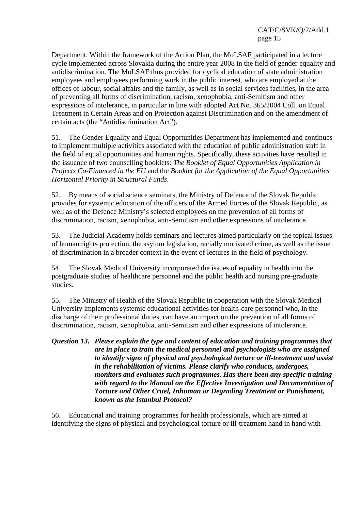Department. Within the framework of the Action Plan, the MoLSAF participated in a lecture cycle implemented across Slovakia during the entire year 2008 in the field of gender equality and antidiscrimination. The MoLSAF thus provided for cyclical education of state administration employees and employees performing work in the public interest, who are employed at the offices of labour, social affairs and the family, as well as in social services facilities, in the area of preventing all forms of discrimination, racism, xenophobia, anti-Semitism and other expressions of intolerance, in particular in line with adopted Act No. 365/2004 Coll. on Equal Treatment in Certain Areas and on Protection against Discrimination and on the amendment of certain acts (the "Antidiscrimination Act").

51. The Gender Equality and Equal Opportunities Department has implemented and continues to implement multiple activities associated with the education of public administration staff in the field of equal opportunities and human rights. Specifically, these activities have resulted in the issuance of two counselling booklets: *The Booklet of Equal Opportunities Application in Projects Co-Financed in the EU* and the *Booklet for the Application of the Equal Opportunities Horizontal Priority in Structural Funds*.

52. By means of social science seminars, the Ministry of Defence of the Slovak Republic provides for systemic education of the officers of the Armed Forces of the Slovak Republic, as well as of the Defence Ministry's selected employees on the prevention of all forms of discrimination, racism, xenophobia, anti-Semitism and other expressions of intolerance.

53. The Judicial Academy holds seminars and lectures aimed particularly on the topical issues of human rights protection, the asylum legislation, racially motivated crime, as well as the issue of discrimination in a broader context in the event of lectures in the field of psychology.

54. The Slovak Medical University incorporated the issues of equality in health into the postgraduate studies of healthcare personnel and the public health and nursing pre-graduate studies.

55. The Ministry of Health of the Slovak Republic in cooperation with the Slovak Medical University implements systemic educational activities for health-care personnel who, in the discharge of their professional duties, can have an impact on the prevention of all forms of discrimination, racism, xenophobia, anti-Semitism and other expressions of intolerance.

*Question 13. Please explain the type and content of education and training programmes that are in place to train the medical personnel and psychologists who are assigned to identify signs of physical and psychological torture or ill-treatment and assist in the rehabilitation of victims. Please clarify who conducts, undergoes, monitors and evaluates such programmes. Has there been any specific training with regard to the Manual on the Effective Investigation and Documentation of Torture and Other Cruel, Inhuman or Degrading Treatment or Punishment, known as the Istanbul Protocol?* 

56. Educational and training programmes for health professionals, which are aimed at identifying the signs of physical and psychological torture or ill-treatment hand in hand with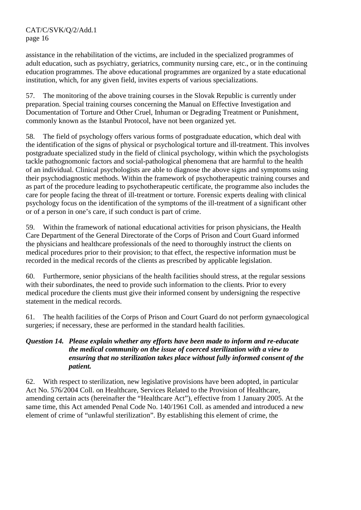assistance in the rehabilitation of the victims, are included in the specialized programmes of adult education, such as psychiatry, geriatrics, community nursing care, etc., or in the continuing education programmes. The above educational programmes are organized by a state educational institution, which, for any given field, invites experts of various specializations.

57. The monitoring of the above training courses in the Slovak Republic is currently under preparation. Special training courses concerning the Manual on Effective Investigation and Documentation of Torture and Other Cruel, Inhuman or Degrading Treatment or Punishment, commonly known as the Istanbul Protocol, have not been organized yet.

58. The field of psychology offers various forms of postgraduate education, which deal with the identification of the signs of physical or psychological torture and ill-treatment. This involves postgraduate specialized study in the field of clinical psychology, within which the psychologists tackle pathognomonic factors and social-pathological phenomena that are harmful to the health of an individual. Clinical psychologists are able to diagnose the above signs and symptoms using their psychodiagnostic methods. Within the framework of psychotherapeutic training courses and as part of the procedure leading to psychotherapeutic certificate, the programme also includes the care for people facing the threat of ill-treatment or torture. Forensic experts dealing with clinical psychology focus on the identification of the symptoms of the ill-treatment of a significant other or of a person in one's care, if such conduct is part of crime.

59. Within the framework of national educational activities for prison physicians, the Health Care Department of the General Directorate of the Corps of Prison and Court Guard informed the physicians and healthcare professionals of the need to thoroughly instruct the clients on medical procedures prior to their provision; to that effect, the respective information must be recorded in the medical records of the clients as prescribed by applicable legislation.

60. Furthermore, senior physicians of the health facilities should stress, at the regular sessions with their subordinates, the need to provide such information to the clients. Prior to every medical procedure the clients must give their informed consent by undersigning the respective statement in the medical records.

61. The health facilities of the Corps of Prison and Court Guard do not perform gynaecological surgeries; if necessary, these are performed in the standard health facilities.

# *Question 14. Please explain whether any efforts have been made to inform and re-educate the medical community on the issue of coerced sterilization with a view to ensuring that no sterilization takes place without fully informed consent of the patient.*

62. With respect to sterilization, new legislative provisions have been adopted, in particular Act No. 576/2004 Coll. on Healthcare, Services Related to the Provision of Healthcare, amending certain acts (hereinafter the "Healthcare Act"), effective from 1 January 2005. At the same time, this Act amended Penal Code No. 140/1961 Coll. as amended and introduced a new element of crime of "unlawful sterilization". By establishing this element of crime, the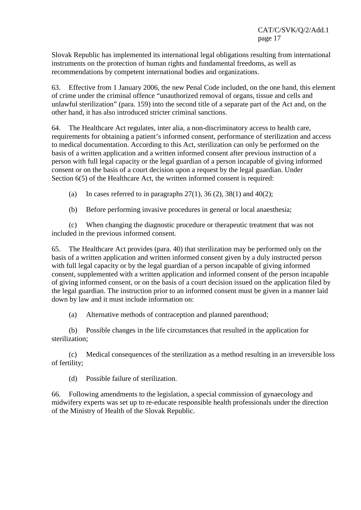Slovak Republic has implemented its international legal obligations resulting from international instruments on the protection of human rights and fundamental freedoms, as well as recommendations by competent international bodies and organizations.

63. Effective from 1 January 2006, the new Penal Code included, on the one hand, this element of crime under the criminal offence "unauthorized removal of organs, tissue and cells and unlawful sterilization" (para. 159) into the second title of a separate part of the Act and, on the other hand, it has also introduced stricter criminal sanctions.

64. The Healthcare Act regulates, inter alia, a non-discriminatory access to health care, requirements for obtaining a patient's informed consent, performance of sterilization and access to medical documentation. According to this Act, sterilization can only be performed on the basis of a written application and a written informed consent after previous instruction of a person with full legal capacity or the legal guardian of a person incapable of giving informed consent or on the basis of a court decision upon a request by the legal guardian. Under Section  $6(5)$  of the Healthcare Act, the written informed consent is required:

(a) In cases referred to in paragraphs  $27(1)$ ,  $36(2)$ ,  $38(1)$  and  $40(2)$ ;

(b) Before performing invasive procedures in general or local anaesthesia;

 (c) When changing the diagnostic procedure or therapeutic treatment that was not included in the previous informed consent.

65. The Healthcare Act provides (para. 40) that sterilization may be performed only on the basis of a written application and written informed consent given by a duly instructed person with full legal capacity or by the legal guardian of a person incapable of giving informed consent, supplemented with a written application and informed consent of the person incapable of giving informed consent, or on the basis of a court decision issued on the application filed by the legal guardian. The instruction prior to an informed consent must be given in a manner laid down by law and it must include information on:

(a) Alternative methods of contraception and planned parenthood;

 (b) Possible changes in the life circumstances that resulted in the application for sterilization;

 (c) Medical consequences of the sterilization as a method resulting in an irreversible loss of fertility;

(d) Possible failure of sterilization.

66. Following amendments to the legislation, a special commission of gynaecology and midwifery experts was set up to re-educate responsible health professionals under the direction of the Ministry of Health of the Slovak Republic.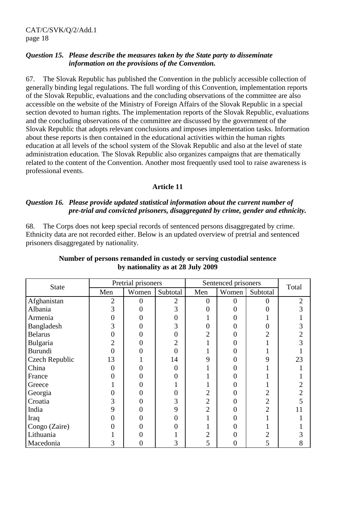#### *Question 15. Please describe the measures taken by the State party to disseminate information on the provisions of the Convention.*

67. The Slovak Republic has published the Convention in the publicly accessible collection of generally binding legal regulations. The full wording of this Convention, implementation reports of the Slovak Republic, evaluations and the concluding observations of the committee are also accessible on the website of the Ministry of Foreign Affairs of the Slovak Republic in a special section devoted to human rights. The implementation reports of the Slovak Republic, evaluations and the concluding observations of the committee are discussed by the government of the Slovak Republic that adopts relevant conclusions and imposes implementation tasks. Information about these reports is then contained in the educational activities within the human rights education at all levels of the school system of the Slovak Republic and also at the level of state administration education. The Slovak Republic also organizes campaigns that are thematically related to the content of the Convention. Another most frequently used tool to raise awareness is professional events.

#### **Article 11**

# *Question 16. Please provide updated statistical information about the current number of pre-trial and convicted prisoners, disaggregated by crime, gender and ethnicity.*

68. The Corps does not keep special records of sentenced persons disaggregated by crime. Ethnicity data are not recorded either. Below is an updated overview of pretrial and sentenced prisoners disaggregated by nationality.

| <b>State</b>   |                | Pretrial prisoners |                |                | Sentenced prisoners |          | Total          |
|----------------|----------------|--------------------|----------------|----------------|---------------------|----------|----------------|
|                | Men            | Women              | Subtotal       | Men            | Women               | Subtotal |                |
| Afghanistan    | $\overline{2}$ |                    | 2              | 0              | 0                   | $\theta$ | $\overline{2}$ |
| Albania        | 3              |                    | 3              | 0              | 0                   |          | 3              |
| Armenia        | 0              |                    | 0              |                | 0                   |          |                |
| Bangladesh     | 3              |                    | 3              | $\overline{0}$ | 0                   |          |                |
| <b>Belarus</b> | 0              |                    | 0              | $\overline{2}$ | 0                   |          | $\overline{2}$ |
| Bulgaria       | 2              |                    | $\overline{2}$ |                | 0                   |          | 3              |
| <b>Burundi</b> |                |                    | 0              |                |                     |          |                |
| Czech Republic | 13             |                    | 14             | 9              | 0                   |          | 23             |
| China          | 0              |                    | $\theta$       |                | 0                   |          |                |
| France         |                |                    | 0              |                |                     |          |                |
| Greece         |                |                    |                |                | 0                   |          |                |
| Georgia        | 0              | 0                  | 0              | $\overline{2}$ | 0                   | 2        | $\overline{2}$ |
| Croatia        | 3              |                    | 3              | $\mathbf{2}$   | 0                   | 2        |                |
| India          | 9              |                    | 9              | $\overline{2}$ | 0                   |          | 11             |
| Iraq           | 0              |                    | 0              | 1              | 0                   |          |                |
| Congo (Zaire)  |                |                    | 0              |                |                     |          |                |
| Lithuania      |                |                    |                | $\overline{2}$ | 0                   |          |                |
| Macedonia      | 3              | 0                  | 3              | 5              | 0                   | 5        | 8              |

# **Number of persons remanded in custody or serving custodial sentence by nationality as at 28 July 2009**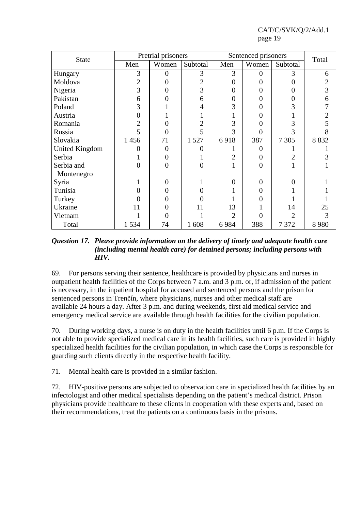| <b>State</b>          |                          | Pretrial prisoners |                |                | Sentenced prisoners |                | Total          |  |
|-----------------------|--------------------------|--------------------|----------------|----------------|---------------------|----------------|----------------|--|
|                       | Women<br>Men<br>Subtotal |                    |                | Men            | Women               | Subtotal       |                |  |
| Hungary               | 3                        | 0                  | 3              | 3              | $\Omega$            | 3              | 6              |  |
| Moldova               | $\overline{2}$           | 0                  | $\overline{2}$ | $\overline{0}$ | 0                   | 0              | $\overline{c}$ |  |
| Nigeria               | 3                        |                    | 3              | $\overline{0}$ | 0                   |                | $\overline{3}$ |  |
| Pakistan              | 6                        |                    | 6              | $\overline{0}$ | $\Omega$            | 0              | 6              |  |
| Poland                | 3                        |                    | 4              | 3              | 0                   |                | 7              |  |
| Austria               | 0                        |                    |                |                | 0                   |                | $\overline{c}$ |  |
| Romania               | 2                        |                    | 2              | 3              | $\Omega$            | 3              | 5              |  |
| Russia                | 5                        | 0                  | 5              | 3              | $\theta$            | 3              | 8              |  |
| Slovakia              | 1456                     | 71                 | 1527           | 6918           | 387                 | 7 3 0 5        | 8 8 3 2        |  |
| <b>United Kingdom</b> | 0                        | $\theta$           | $\overline{0}$ |                | $\Omega$            |                |                |  |
| Serbia                |                          | 0                  |                | $\overline{2}$ | $\overline{0}$      | $\overline{2}$ | 3              |  |
| Serbia and            | $\theta$                 | $\theta$           | $\overline{0}$ |                | $\overline{0}$      |                |                |  |
| Montenegro            |                          |                    |                |                |                     |                |                |  |
| Syria                 |                          | $\mathbf{\Omega}$  |                | $\overline{0}$ | $\Omega$            | 0              |                |  |
| Tunisia               | 0                        |                    | $\Omega$       |                | $\Omega$            |                |                |  |
| Turkey                |                          |                    | $\Omega$       |                | 0                   |                |                |  |
| Ukraine               | 11                       | 0                  | 11             | 13             |                     | 14             | 25             |  |
| Vietnam               |                          | $\overline{0}$     |                | $\overline{2}$ | $\theta$            | $\overline{2}$ | 3              |  |
| Total                 | 1534                     | 74                 | 1608           | 6984           | 388                 | 7 3 7 2        | 8980           |  |

# *Question 17. Please provide information on the delivery of timely and adequate health care (including mental health care) for detained persons; including persons with HIV.*

69. For persons serving their sentence, healthcare is provided by physicians and nurses in outpatient health facilities of the Corps between 7 a.m. and 3 p.m. or, if admission of the patient is necessary, in the inpatient hospital for accused and sentenced persons and the prison for sentenced persons in Trenčín, where physicians, nurses and other medical staff are available 24 hours a day. After 3 p.m. and during weekends, first aid medical service and emergency medical service are available through health facilities for the civilian population.

70. During working days, a nurse is on duty in the health facilities until 6 p.m. If the Corps is not able to provide specialized medical care in its health facilities, such care is provided in highly specialized health facilities for the civilian population, in which case the Corps is responsible for guarding such clients directly in the respective health facility.

71. Mental health care is provided in a similar fashion.

72. HIV-positive persons are subjected to observation care in specialized health facilities by an infectologist and other medical specialists depending on the patient's medical district. Prison physicians provide healthcare to these clients in cooperation with these experts and, based on their recommendations, treat the patients on a continuous basis in the prisons.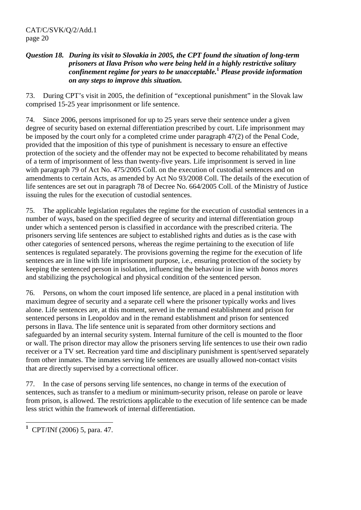# *Question 18. During its visit to Slovakia in 2005, the CPT found the situation of long-term prisoners at Ilava Prison who were being held in a highly restrictive solitary confinement regime for years to be unacceptable.***<sup>1</sup>**  *Please provide information on any steps to improve this situation.*

73. During CPT's visit in 2005, the definition of "exceptional punishment" in the Slovak law comprised 15-25 year imprisonment or life sentence.

74. Since 2006, persons imprisoned for up to 25 years serve their sentence under a given degree of security based on external differentiation prescribed by court. Life imprisonment may be imposed by the court only for a completed crime under paragraph 47(2) of the Penal Code, provided that the imposition of this type of punishment is necessary to ensure an effective protection of the society and the offender may not be expected to become rehabilitated by means of a term of imprisonment of less than twenty-five years. Life imprisonment is served in line with paragraph 79 of Act No. 475/2005 Coll. on the execution of custodial sentences and on amendments to certain Acts, as amended by Act No 93/2008 Coll. The details of the execution of life sentences are set out in paragraph 78 of Decree No. 664/2005 Coll. of the Ministry of Justice issuing the rules for the execution of custodial sentences.

75. The applicable legislation regulates the regime for the execution of custodial sentences in a number of ways, based on the specified degree of security and internal differentiation group under which a sentenced person is classified in accordance with the prescribed criteria. The prisoners serving life sentences are subject to established rights and duties as is the case with other categories of sentenced persons, whereas the regime pertaining to the execution of life sentences is regulated separately. The provisions governing the regime for the execution of life sentences are in line with life imprisonment purpose, i.e., ensuring protection of the society by keeping the sentenced person in isolation, influencing the behaviour in line with *bonos mores* and stabilizing the psychological and physical condition of the sentenced person.

76. Persons, on whom the court imposed life sentence, are placed in a penal institution with maximum degree of security and a separate cell where the prisoner typically works and lives alone. Life sentences are, at this moment, served in the remand establishment and prison for sentenced persons in Leopoldov and in the remand establishment and prison for sentenced persons in Ilava. The life sentence unit is separated from other dormitory sections and safeguarded by an internal security system. Internal furniture of the cell is mounted to the floor or wall. The prison director may allow the prisoners serving life sentences to use their own radio receiver or a TV set. Recreation yard time and disciplinary punishment is spent/served separately from other inmates. The inmates serving life sentences are usually allowed non-contact visits that are directly supervised by a correctional officer.

77. In the case of persons serving life sentences, no change in terms of the execution of sentences, such as transfer to a medium or minimum-security prison, release on parole or leave from prison, is allowed. The restrictions applicable to the execution of life sentence can be made less strict within the framework of internal differentiation.

 $\overline{a}$ **1** CPT/INf (2006) 5, para. 47.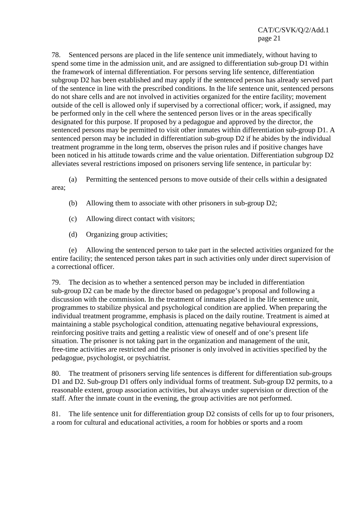78. Sentenced persons are placed in the life sentence unit immediately, without having to spend some time in the admission unit, and are assigned to differentiation sub-group D1 within the framework of internal differentiation. For persons serving life sentence, differentiation subgroup D2 has been established and may apply if the sentenced person has already served part of the sentence in line with the prescribed conditions. In the life sentence unit, sentenced persons do not share cells and are not involved in activities organized for the entire facility; movement outside of the cell is allowed only if supervised by a correctional officer; work, if assigned, may be performed only in the cell where the sentenced person lives or in the areas specifically designated for this purpose. If proposed by a pedagogue and approved by the director, the sentenced persons may be permitted to visit other inmates within differentiation sub-group D1. A sentenced person may be included in differentiation sub-group D2 if he abides by the individual treatment programme in the long term, observes the prison rules and if positive changes have been noticed in his attitude towards crime and the value orientation. Differentiation subgroup D2 alleviates several restrictions imposed on prisoners serving life sentence, in particular by:

 (a) Permitting the sentenced persons to move outside of their cells within a designated area;

- (b) Allowing them to associate with other prisoners in sub-group D2;
- (c) Allowing direct contact with visitors;
- (d) Organizing group activities;

 (e) Allowing the sentenced person to take part in the selected activities organized for the entire facility; the sentenced person takes part in such activities only under direct supervision of a correctional officer.

79. The decision as to whether a sentenced person may be included in differentiation sub-group D2 can be made by the director based on pedagogue's proposal and following a discussion with the commission. In the treatment of inmates placed in the life sentence unit, programmes to stabilize physical and psychological condition are applied. When preparing the individual treatment programme, emphasis is placed on the daily routine. Treatment is aimed at maintaining a stable psychological condition, attenuating negative behavioural expressions, reinforcing positive traits and getting a realistic view of oneself and of one's present life situation. The prisoner is not taking part in the organization and management of the unit, free-time activities are restricted and the prisoner is only involved in activities specified by the pedagogue, psychologist, or psychiatrist.

80. The treatment of prisoners serving life sentences is different for differentiation sub-groups D1 and D2. Sub-group D1 offers only individual forms of treatment. Sub-group D2 permits, to a reasonable extent, group association activities, but always under supervision or direction of the staff. After the inmate count in the evening, the group activities are not performed.

81. The life sentence unit for differentiation group D2 consists of cells for up to four prisoners, a room for cultural and educational activities, a room for hobbies or sports and a room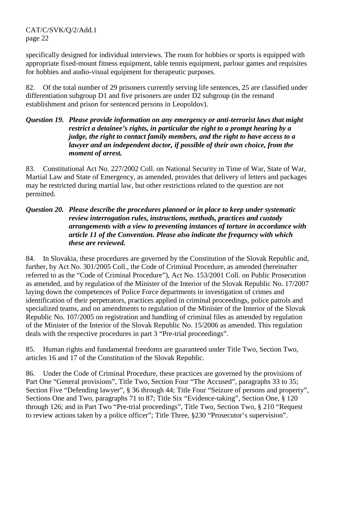specifically designed for individual interviews. The room for hobbies or sports is equipped with appropriate fixed-mount fitness equipment, table tennis equipment, parlour games and requisites for hobbies and audio-visual equipment for therapeutic purposes.

82. Of the total number of 29 prisoners currently serving life sentences, 25 are classified under differentiation subgroup D1 and five prisoners are under D2 subgroup (in the remand establishment and prison for sentenced persons in Leopoldov).

# *Question 19. Please provide information on any emergency or anti-terrorist laws that might restrict a detainee's rights, in particular the right to a prompt hearing by a judge, the right to contact family members, and the right to have access to a lawyer and an independent doctor, if possible of their own choice, from the moment of arrest.*

83. Constitutional Act No. 227/2002 Coll. on National Security in Time of War, State of War, Martial Law and State of Emergency, as amended, provides that delivery of letters and packages may be restricted during martial law, but other restrictions related to the question are not permitted.

# *Question 20. Please describe the procedures planned or in place to keep under systematic review interrogation rules, instructions, methods, practices and custody arrangements with a view to preventing instances of torture in accordance with article 11 of the Convention. Please also indicate the frequency with which these are reviewed.*

84. In Slovakia, these procedures are governed by the Constitution of the Slovak Republic and, further, by Act No. 301/2005 Coll., the Code of Criminal Procedure, as amended (hereinafter referred to as the "Code of Criminal Procedure"), Act No. 153/2001 Coll. on Public Prosecution as amended, and by regulation of the Minister of the Interior of the Slovak Republic No. 17/2007 laying down the competences of Police Force departments in investigation of crimes and identification of their perpetrators, practices applied in criminal proceedings, police patrols and specialized teams, and on amendments to regulation of the Minister of the Interior of the Slovak Republic No. 107/2005 on registration and handling of criminal files as amended by regulation of the Minister of the Interior of the Slovak Republic No. 15/2006 as amended. This regulation deals with the respective procedures in part 3 "Pre-trial proceedings".

85. Human rights and fundamental freedoms are guaranteed under Title Two, Section Two, articles 16 and 17 of the Constitution of the Slovak Republic.

86. Under the Code of Criminal Procedure, these practices are governed by the provisions of Part One "General provisions", Title Two, Section Four "The Accused", paragraphs 33 to 35; Section Five "Defending lawyer", § 36 through 44; Title Four "Seizure of persons and property", Sections One and Two, paragraphs 71 to 87; Title Six "Evidence-taking", Section One, § 120 through 126; and in Part Two "Pre-trial proceedings", Title Two, Section Two, § 210 "Request to review actions taken by a police officer"; Title Three, §230 "Prosecutor's supervision".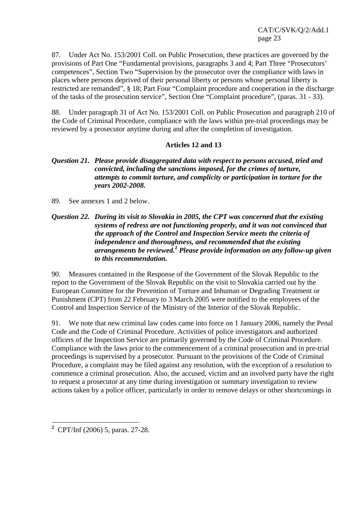87. Under Act No. 153/2001 Coll. on Public Prosecution, these practices are governed by the provisions of Part One "Fundamental provisions, paragraphs 3 and 4; Part Three "Prosecutors' competences", Section Two "Supervision by the prosecutor over the compliance with laws in places where persons deprived of their personal liberty or persons whose personal liberty is restricted are remanded", § 18; Part Four "Complaint procedure and cooperation in the discharge of the tasks of the prosecution service", Section One "Complaint procedure", (paras. 31 - 33).

88. Under paragraph 31 of Act No. 153/2001 Coll. on Public Prosecution and paragraph 210 of the Code of Criminal Procedure, compliance with the laws within pre-trial proceedings may be reviewed by a prosecutor anytime during and after the completion of investigation.

# **Articles 12 and 13**

# *Question 21. Please provide disaggregated data with respect to persons accused, tried and convicted, including the sanctions imposed, for the crimes of torture, attempts to commit torture, and complicity or participation in torture for the years 2002-2008.*

89. See annexes 1 and 2 below.

# *Question 22. During its visit to Slovakia in 2005, the CPT was concerned that the existing systems of redress are not functioning properly, and it was not convinced that the approach of the Control and Inspection Service meets the criteria of independence and thoroughness, and recommended that the existing arrangements be reviewed.***<sup>2</sup>**  *Please provide information on any follow-up given to this recommendation.*

90. Measures contained in the Response of the Government of the Slovak Republic to the report to the Government of the Slovak Republic on the visit to Slovakia carried out by the European Committee for the Prevention of Torture and Inhuman or Degrading Treatment or Punishment (CPT) from 22 February to 3 March 2005 were notified to the employees of the Control and Inspection Service of the Ministry of the Interior of the Slovak Republic.

91. We note that new criminal law codes came into force on 1 January 2006, namely the Penal Code and the Code of Criminal Procedure. Activities of police investigators and authorized officers of the Inspection Service are primarily governed by the Code of Criminal Procedure. Compliance with the laws prior to the commencement of a criminal prosecution and in pre-trial proceedings is supervised by a prosecutor. Pursuant to the provisions of the Code of Criminal Procedure, a complaint may be filed against any resolution, with the exception of a resolution to commence a criminal prosecution. Also, the accused, victim and an involved party have the right to request a prosecutor at any time during investigation or summary investigation to review actions taken by a police officer, particularly in order to remove delays or other shortcomings in

 $\overline{a}$ 

**<sup>2</sup>** CPT/Inf (2006) 5, paras. 27-28.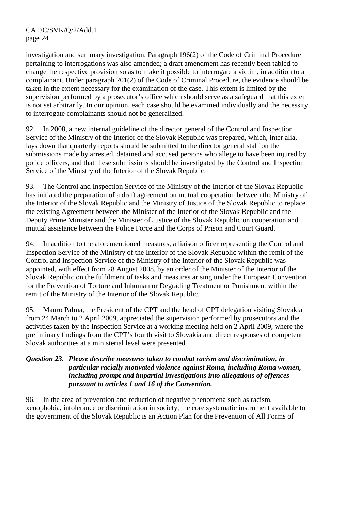investigation and summary investigation. Paragraph 196(2) of the Code of Criminal Procedure pertaining to interrogations was also amended; a draft amendment has recently been tabled to change the respective provision so as to make it possible to interrogate a victim, in addition to a complainant. Under paragraph 201(2) of the Code of Criminal Procedure, the evidence should be taken in the extent necessary for the examination of the case. This extent is limited by the supervision performed by a prosecutor's office which should serve as a safeguard that this extent is not set arbitrarily. In our opinion, each case should be examined individually and the necessity to interrogate complainants should not be generalized.

92. In 2008, a new internal guideline of the director general of the Control and Inspection Service of the Ministry of the Interior of the Slovak Republic was prepared, which, inter alia, lays down that quarterly reports should be submitted to the director general staff on the submissions made by arrested, detained and accused persons who allege to have been injured by police officers, and that these submissions should be investigated by the Control and Inspection Service of the Ministry of the Interior of the Slovak Republic.

93. The Control and Inspection Service of the Ministry of the Interior of the Slovak Republic has initiated the preparation of a draft agreement on mutual cooperation between the Ministry of the Interior of the Slovak Republic and the Ministry of Justice of the Slovak Republic to replace the existing Agreement between the Minister of the Interior of the Slovak Republic and the Deputy Prime Minister and the Minister of Justice of the Slovak Republic on cooperation and mutual assistance between the Police Force and the Corps of Prison and Court Guard.

94. In addition to the aforementioned measures, a liaison officer representing the Control and Inspection Service of the Ministry of the Interior of the Slovak Republic within the remit of the Control and Inspection Service of the Ministry of the Interior of the Slovak Republic was appointed, with effect from 28 August 2008, by an order of the Minister of the Interior of the Slovak Republic on the fulfilment of tasks and measures arising under the European Convention for the Prevention of Torture and Inhuman or Degrading Treatment or Punishment within the remit of the Ministry of the Interior of the Slovak Republic.

95. Mauro Palma, the President of the CPT and the head of CPT delegation visiting Slovakia from 24 March to 2 April 2009, appreciated the supervision performed by prosecutors and the activities taken by the Inspection Service at a working meeting held on 2 April 2009, where the preliminary findings from the CPT's fourth visit to Slovakia and direct responses of competent Slovak authorities at a ministerial level were presented.

# *Question 23. Please describe measures taken to combat racism and discrimination, in particular racially motivated violence against Roma, including Roma women, including prompt and impartial investigations into allegations of offences pursuant to articles 1 and 16 of the Convention.*

96. In the area of prevention and reduction of negative phenomena such as racism, xenophobia, intolerance or discrimination in society, the core systematic instrument available to the government of the Slovak Republic is an Action Plan for the Prevention of All Forms of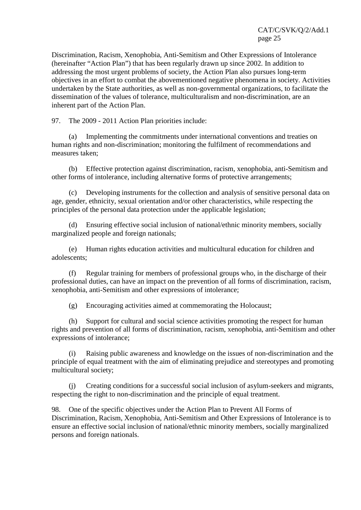Discrimination, Racism, Xenophobia, Anti-Semitism and Other Expressions of Intolerance (hereinafter "Action Plan") that has been regularly drawn up since 2002. In addition to addressing the most urgent problems of society, the Action Plan also pursues long-term objectives in an effort to combat the abovementioned negative phenomena in society. Activities undertaken by the State authorities, as well as non-governmental organizations, to facilitate the dissemination of the values of tolerance, multiculturalism and non-discrimination, are an inherent part of the Action Plan.

97. The 2009 - 2011 Action Plan priorities include:

 (a) Implementing the commitments under international conventions and treaties on human rights and non-discrimination; monitoring the fulfilment of recommendations and measures taken;

 (b) Effective protection against discrimination, racism, xenophobia, anti-Semitism and other forms of intolerance, including alternative forms of protective arrangements;

 (c) Developing instruments for the collection and analysis of sensitive personal data on age, gender, ethnicity, sexual orientation and/or other characteristics, while respecting the principles of the personal data protection under the applicable legislation;

 (d) Ensuring effective social inclusion of national/ethnic minority members, socially marginalized people and foreign nationals;

 (e) Human rights education activities and multicultural education for children and adolescents;

 (f) Regular training for members of professional groups who, in the discharge of their professional duties, can have an impact on the prevention of all forms of discrimination, racism, xenophobia, anti-Semitism and other expressions of intolerance;

(g) Encouraging activities aimed at commemorating the Holocaust;

 (h) Support for cultural and social science activities promoting the respect for human rights and prevention of all forms of discrimination, racism, xenophobia, anti-Semitism and other expressions of intolerance;

 (i) Raising public awareness and knowledge on the issues of non-discrimination and the principle of equal treatment with the aim of eliminating prejudice and stereotypes and promoting multicultural society;

 (j) Creating conditions for a successful social inclusion of asylum-seekers and migrants, respecting the right to non-discrimination and the principle of equal treatment.

98. One of the specific objectives under the Action Plan to Prevent All Forms of Discrimination, Racism, Xenophobia, Anti-Semitism and Other Expressions of Intolerance is to ensure an effective social inclusion of national/ethnic minority members, socially marginalized persons and foreign nationals.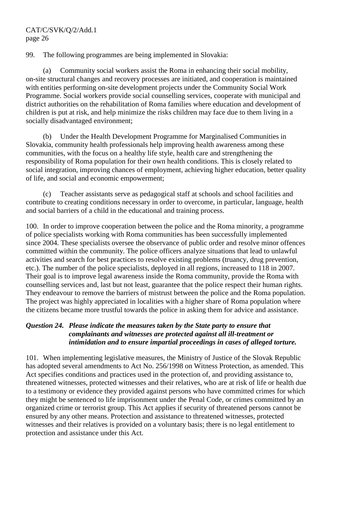99. The following programmes are being implemented in Slovakia:

 (a) Community social workers assist the Roma in enhancing their social mobility, on-site structural changes and recovery processes are initiated, and cooperation is maintained with entities performing on-site development projects under the Community Social Work Programme. Social workers provide social counselling services, cooperate with municipal and district authorities on the rehabilitation of Roma families where education and development of children is put at risk, and help minimize the risks children may face due to them living in a socially disadvantaged environment;

 (b) Under the Health Development Programme for Marginalised Communities in Slovakia, community health professionals help improving health awareness among these communities, with the focus on a healthy life style, health care and strengthening the responsibility of Roma population for their own health conditions. This is closely related to social integration, improving chances of employment, achieving higher education, better quality of life, and social and economic empowerment;

 (c) Teacher assistants serve as pedagogical staff at schools and school facilities and contribute to creating conditions necessary in order to overcome, in particular, language, health and social barriers of a child in the educational and training process.

100. In order to improve cooperation between the police and the Roma minority, a programme of police specialists working with Roma communities has been successfully implemented since 2004. These specialists oversee the observance of public order and resolve minor offences committed within the community. The police officers analyze situations that lead to unlawful activities and search for best practices to resolve existing problems (truancy, drug prevention, etc.). The number of the police specialists, deployed in all regions, increased to 118 in 2007. Their goal is to improve legal awareness inside the Roma community, provide the Roma with counselling services and, last but not least, guarantee that the police respect their human rights. They endeavour to remove the barriers of mistrust between the police and the Roma population. The project was highly appreciated in localities with a higher share of Roma population where the citizens became more trustful towards the police in asking them for advice and assistance.

# *Question 24. Please indicate the measures taken by the State party to ensure that complainants and witnesses are protected against all ill-treatment or intimidation and to ensure impartial proceedings in cases of alleged torture.*

101. When implementing legislative measures, the Ministry of Justice of the Slovak Republic has adopted several amendments to Act No. 256/1998 on Witness Protection, as amended. This Act specifies conditions and practices used in the protection of, and providing assistance to, threatened witnesses, protected witnesses and their relatives, who are at risk of life or health due to a testimony or evidence they provided against persons who have committed crimes for which they might be sentenced to life imprisonment under the Penal Code, or crimes committed by an organized crime or terrorist group. This Act applies if security of threatened persons cannot be ensured by any other means. Protection and assistance to threatened witnesses, protected witnesses and their relatives is provided on a voluntary basis; there is no legal entitlement to protection and assistance under this Act.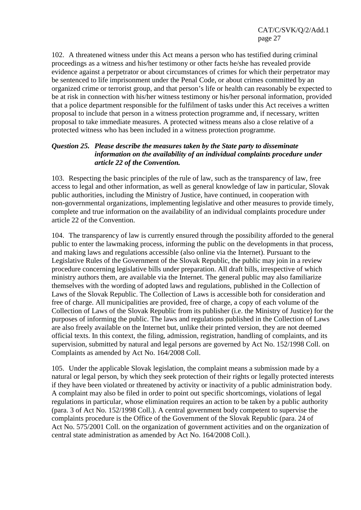102. A threatened witness under this Act means a person who has testified during criminal proceedings as a witness and his/her testimony or other facts he/she has revealed provide evidence against a perpetrator or about circumstances of crimes for which their perpetrator may be sentenced to life imprisonment under the Penal Code, or about crimes committed by an organized crime or terrorist group, and that person's life or health can reasonably be expected to be at risk in connection with his/her witness testimony or his/her personal information, provided that a police department responsible for the fulfilment of tasks under this Act receives a written proposal to include that person in a witness protection programme and, if necessary, written proposal to take immediate measures. A protected witness means also a close relative of a protected witness who has been included in a witness protection programme.

# *Question 25. Please describe the measures taken by the State party to disseminate information on the availability of an individual complaints procedure under article 22 of the Convention.*

103. Respecting the basic principles of the rule of law, such as the transparency of law, free access to legal and other information, as well as general knowledge of law in particular, Slovak public authorities, including the Ministry of Justice, have continued, in cooperation with non-governmental organizations, implementing legislative and other measures to provide timely, complete and true information on the availability of an individual complaints procedure under article 22 of the Convention.

104. The transparency of law is currently ensured through the possibility afforded to the general public to enter the lawmaking process, informing the public on the developments in that process, and making laws and regulations accessible (also online via the Internet). Pursuant to the Legislative Rules of the Government of the Slovak Republic, the public may join in a review procedure concerning legislative bills under preparation. All draft bills, irrespective of which ministry authors them, are available via the Internet. The general public may also familiarize themselves with the wording of adopted laws and regulations, published in the Collection of Laws of the Slovak Republic. The Collection of Laws is accessible both for consideration and free of charge. All municipalities are provided, free of charge, a copy of each volume of the Collection of Laws of the Slovak Republic from its publisher (i.e. the Ministry of Justice) for the purposes of informing the public. The laws and regulations published in the Collection of Laws are also freely available on the Internet but, unlike their printed version, they are not deemed official texts. In this context, the filing, admission, registration, handling of complaints, and its supervision, submitted by natural and legal persons are governed by Act No. 152/1998 Coll. on Complaints as amended by Act No. 164/2008 Coll.

105. Under the applicable Slovak legislation, the complaint means a submission made by a natural or legal person, by which they seek protection of their rights or legally protected interests if they have been violated or threatened by activity or inactivity of a public administration body. A complaint may also be filed in order to point out specific shortcomings, violations of legal regulations in particular, whose elimination requires an action to be taken by a public authority (para. 3 of Act No. 152/1998 Coll.). A central government body competent to supervise the complaints procedure is the Office of the Government of the Slovak Republic (para. 24 of Act No. 575/2001 Coll. on the organization of government activities and on the organization of central state administration as amended by Act No. 164/2008 Coll.).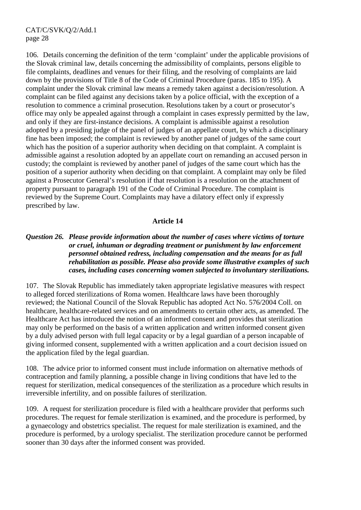106. Details concerning the definition of the term 'complaint' under the applicable provisions of the Slovak criminal law, details concerning the admissibility of complaints, persons eligible to file complaints, deadlines and venues for their filing, and the resolving of complaints are laid down by the provisions of Title 8 of the Code of Criminal Procedure (paras. 185 to 195). A complaint under the Slovak criminal law means a remedy taken against a decision/resolution. A complaint can be filed against any decisions taken by a police official, with the exception of a resolution to commence a criminal prosecution. Resolutions taken by a court or prosecutor's office may only be appealed against through a complaint in cases expressly permitted by the law, and only if they are first-instance decisions. A complaint is admissible against a resolution adopted by a presiding judge of the panel of judges of an appellate court, by which a disciplinary fine has been imposed; the complaint is reviewed by another panel of judges of the same court which has the position of a superior authority when deciding on that complaint. A complaint is admissible against a resolution adopted by an appellate court on remanding an accused person in custody; the complaint is reviewed by another panel of judges of the same court which has the position of a superior authority when deciding on that complaint. A complaint may only be filed against a Prosecutor General's resolution if that resolution is a resolution on the attachment of property pursuant to paragraph 191 of the Code of Criminal Procedure. The complaint is reviewed by the Supreme Court. Complaints may have a dilatory effect only if expressly prescribed by law.

#### **Article 14**

# *Question 26. Please provide information about the number of cases where victims of torture or cruel, inhuman or degrading treatment or punishment by law enforcement personnel obtained redress, including compensation and the means for as full rehabilitation as possible. Please also provide some illustrative examples of such cases, including cases concerning women subjected to involuntary sterilizations.*

107. The Slovak Republic has immediately taken appropriate legislative measures with respect to alleged forced sterilizations of Roma women. Healthcare laws have been thoroughly reviewed; the National Council of the Slovak Republic has adopted Act No. 576/2004 Coll. on healthcare, healthcare-related services and on amendments to certain other acts, as amended. The Healthcare Act has introduced the notion of an informed consent and provides that sterilization may only be performed on the basis of a written application and written informed consent given by a duly advised person with full legal capacity or by a legal guardian of a person incapable of giving informed consent, supplemented with a written application and a court decision issued on the application filed by the legal guardian.

108. The advice prior to informed consent must include information on alternative methods of contraception and family planning, a possible change in living conditions that have led to the request for sterilization, medical consequences of the sterilization as a procedure which results in irreversible infertility, and on possible failures of sterilization.

109. A request for sterilization procedure is filed with a healthcare provider that performs such procedures. The request for female sterilization is examined, and the procedure is performed, by a gynaecology and obstetrics specialist. The request for male sterilization is examined, and the procedure is performed, by a urology specialist. The sterilization procedure cannot be performed sooner than 30 days after the informed consent was provided.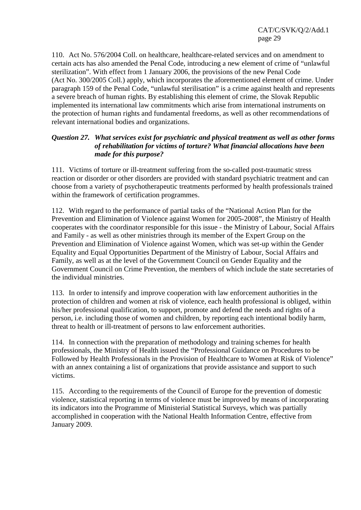110. Act No. 576/2004 Coll. on healthcare, healthcare-related services and on amendment to certain acts has also amended the Penal Code, introducing a new element of crime of "unlawful sterilization". With effect from 1 January 2006, the provisions of the new Penal Code (Act No. 300/2005 Coll.) apply, which incorporates the aforementioned element of crime. Under paragraph 159 of the Penal Code, "unlawful sterilisation" is a crime against health and represents a severe breach of human rights. By establishing this element of crime, the Slovak Republic implemented its international law commitments which arise from international instruments on the protection of human rights and fundamental freedoms, as well as other recommendations of relevant international bodies and organizations.

# *Question 27. What services exist for psychiatric and physical treatment as well as other forms of rehabilitation for victims of torture? What financial allocations have been made for this purpose?*

111. Victims of torture or ill-treatment suffering from the so-called post-traumatic stress reaction or disorder or other disorders are provided with standard psychiatric treatment and can choose from a variety of psychotherapeutic treatments performed by health professionals trained within the framework of certification programmes.

112. With regard to the performance of partial tasks of the "National Action Plan for the Prevention and Elimination of Violence against Women for 2005-2008", the Ministry of Health cooperates with the coordinator responsible for this issue - the Ministry of Labour, Social Affairs and Family - as well as other ministries through its member of the Expert Group on the Prevention and Elimination of Violence against Women, which was set-up within the Gender Equality and Equal Opportunities Department of the Ministry of Labour, Social Affairs and Family, as well as at the level of the Government Council on Gender Equality and the Government Council on Crime Prevention, the members of which include the state secretaries of the individual ministries.

113. In order to intensify and improve cooperation with law enforcement authorities in the protection of children and women at risk of violence, each health professional is obliged, within his/her professional qualification, to support, promote and defend the needs and rights of a person, i.e. including those of women and children, by reporting each intentional bodily harm, threat to health or ill-treatment of persons to law enforcement authorities.

114. In connection with the preparation of methodology and training schemes for health professionals, the Ministry of Health issued the "Professional Guidance on Procedures to be Followed by Health Professionals in the Provision of Healthcare to Women at Risk of Violence" with an annex containing a list of organizations that provide assistance and support to such victims.

115. According to the requirements of the Council of Europe for the prevention of domestic violence, statistical reporting in terms of violence must be improved by means of incorporating its indicators into the Programme of Ministerial Statistical Surveys, which was partially accomplished in cooperation with the National Health Information Centre, effective from January 2009.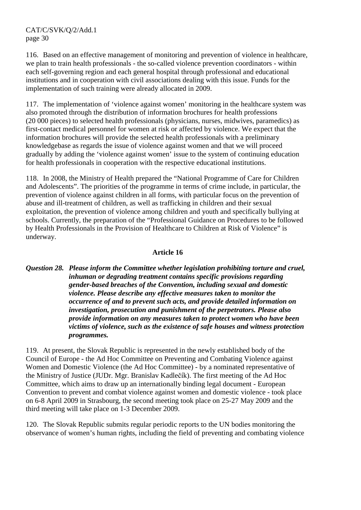116. Based on an effective management of monitoring and prevention of violence in healthcare, we plan to train health professionals - the so-called violence prevention coordinators - within each self-governing region and each general hospital through professional and educational institutions and in cooperation with civil associations dealing with this issue. Funds for the implementation of such training were already allocated in 2009.

117. The implementation of 'violence against women' monitoring in the healthcare system was also promoted through the distribution of information brochures for health professions (20 000 pieces) to selected health professionals (physicians, nurses, midwives, paramedics) as first-contact medical personnel for women at risk or affected by violence. We expect that the information brochures will provide the selected health professionals with a preliminary knowledgebase as regards the issue of violence against women and that we will proceed gradually by adding the 'violence against women' issue to the system of continuing education for health professionals in cooperation with the respective educational institutions.

118. In 2008, the Ministry of Health prepared the "National Programme of Care for Children and Adolescents". The priorities of the programme in terms of crime include, in particular, the prevention of violence against children in all forms, with particular focus on the prevention of abuse and ill-treatment of children, as well as trafficking in children and their sexual exploitation, the prevention of violence among children and youth and specifically bullying at schools. Currently, the preparation of the "Professional Guidance on Procedures to be followed by Health Professionals in the Provision of Healthcare to Children at Risk of Violence" is underway.

# **Article 16**

*Question 28. Please inform the Committee whether legislation prohibiting torture and cruel, inhuman or degrading treatment contains specific provisions regarding gender-based breaches of the Convention, including sexual and domestic violence. Please describe any effective measures taken to monitor the occurrence of and to prevent such acts, and provide detailed information on investigation, prosecution and punishment of the perpetrators. Please also provide information on any measures taken to protect women who have been victims of violence, such as the existence of safe houses and witness protection programmes.* 

119. At present, the Slovak Republic is represented in the newly established body of the Council of Europe - the Ad Hoc Committee on Preventing and Combating Violence against Women and Domestic Violence (the Ad Hoc Committee) - by a nominated representative of the Ministry of Justice (JUDr. Mgr. Branislav Kadlečík). The first meeting of the Ad Hoc Committee, which aims to draw up an internationally binding legal document - European Convention to prevent and combat violence against women and domestic violence - took place on 6-8 April 2009 in Strasbourg, the second meeting took place on 25-27 May 2009 and the third meeting will take place on 1-3 December 2009.

120. The Slovak Republic submits regular periodic reports to the UN bodies monitoring the observance of women's human rights, including the field of preventing and combating violence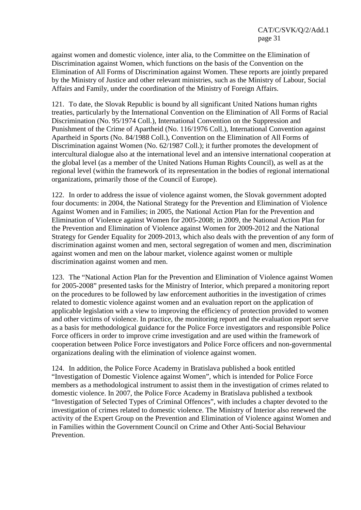against women and domestic violence, inter alia, to the Committee on the Elimination of Discrimination against Women, which functions on the basis of the Convention on the Elimination of All Forms of Discrimination against Women. These reports are jointly prepared by the Ministry of Justice and other relevant ministries, such as the Ministry of Labour, Social Affairs and Family, under the coordination of the Ministry of Foreign Affairs.

121. To date, the Slovak Republic is bound by all significant United Nations human rights treaties, particularly by the International Convention on the Elimination of All Forms of Racial Discrimination (No. 95/1974 Coll.), International Convention on the Suppression and Punishment of the Crime of Apartheid (No. 116/1976 Coll.), International Convention against Apartheid in Sports (No. 84/1988 Coll.), Convention on the Elimination of All Forms of Discrimination against Women (No. 62/1987 Coll.); it further promotes the development of intercultural dialogue also at the international level and an intensive international cooperation at the global level (as a member of the United Nations Human Rights Council), as well as at the regional level (within the framework of its representation in the bodies of regional international organizations, primarily those of the Council of Europe).

122. In order to address the issue of violence against women, the Slovak government adopted four documents: in 2004, the National Strategy for the Prevention and Elimination of Violence Against Women and in Families; in 2005, the National Action Plan for the Prevention and Elimination of Violence against Women for 2005-2008; in 2009, the National Action Plan for the Prevention and Elimination of Violence against Women for 2009-2012 and the National Strategy for Gender Equality for 2009-2013, which also deals with the prevention of any form of discrimination against women and men, sectoral segregation of women and men, discrimination against women and men on the labour market, violence against women or multiple discrimination against women and men.

123. The "National Action Plan for the Prevention and Elimination of Violence against Women for 2005-2008" presented tasks for the Ministry of Interior, which prepared a monitoring report on the procedures to be followed by law enforcement authorities in the investigation of crimes related to domestic violence against women and an evaluation report on the application of applicable legislation with a view to improving the efficiency of protection provided to women and other victims of violence. In practice, the monitoring report and the evaluation report serve as a basis for methodological guidance for the Police Force investigators and responsible Police Force officers in order to improve crime investigation and are used within the framework of cooperation between Police Force investigators and Police Force officers and non-governmental organizations dealing with the elimination of violence against women.

124. In addition, the Police Force Academy in Bratislava published a book entitled "Investigation of Domestic Violence against Women", which is intended for Police Force members as a methodological instrument to assist them in the investigation of crimes related to domestic violence. In 2007, the Police Force Academy in Bratislava published a textbook "Investigation of Selected Types of Criminal Offences", with includes a chapter devoted to the investigation of crimes related to domestic violence. The Ministry of Interior also renewed the activity of the Expert Group on the Prevention and Elimination of Violence against Women and in Families within the Government Council on Crime and Other Anti-Social Behaviour Prevention.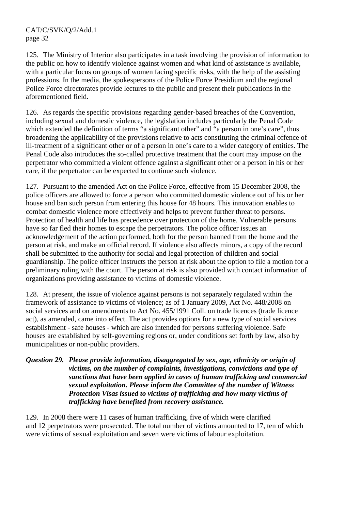125. The Ministry of Interior also participates in a task involving the provision of information to the public on how to identify violence against women and what kind of assistance is available, with a particular focus on groups of women facing specific risks, with the help of the assisting professions. In the media, the spokespersons of the Police Force Presidium and the regional Police Force directorates provide lectures to the public and present their publications in the aforementioned field.

126. As regards the specific provisions regarding gender-based breaches of the Convention, including sexual and domestic violence, the legislation includes particularly the Penal Code which extended the definition of terms "a significant other" and "a person in one's care", thus broadening the applicability of the provisions relative to acts constituting the criminal offence of ill-treatment of a significant other or of a person in one's care to a wider category of entities. The Penal Code also introduces the so-called protective treatment that the court may impose on the perpetrator who committed a violent offence against a significant other or a person in his or her care, if the perpetrator can be expected to continue such violence.

127. Pursuant to the amended Act on the Police Force, effective from 15 December 2008, the police officers are allowed to force a person who committed domestic violence out of his or her house and ban such person from entering this house for 48 hours. This innovation enables to combat domestic violence more effectively and helps to prevent further threat to persons. Protection of health and life has precedence over protection of the home. Vulnerable persons have so far fled their homes to escape the perpetrators. The police officer issues an acknowledgement of the action performed, both for the person banned from the home and the person at risk, and make an official record. If violence also affects minors, a copy of the record shall be submitted to the authority for social and legal protection of children and social guardianship. The police officer instructs the person at risk about the option to file a motion for a preliminary ruling with the court. The person at risk is also provided with contact information of organizations providing assistance to victims of domestic violence.

128. At present, the issue of violence against persons is not separately regulated within the framework of assistance to victims of violence; as of 1 January 2009, Act No. 448/2008 on social services and on amendments to Act No. 455/1991 Coll. on trade licences (trade licence act), as amended, came into effect. The act provides options for a new type of social services establishment - safe houses - which are also intended for persons suffering violence. Safe houses are established by self-governing regions or, under conditions set forth by law, also by municipalities or non-public providers.

*Question 29. Please provide information, disaggregated by sex, age, ethnicity or origin of victims, on the number of complaints, investigations, convictions and type of sanctions that have been applied in cases of human trafficking and commercial sexual exploitation. Please inform the Committee of the number of Witness Protection Visas issued to victims of trafficking and how many victims of trafficking have benefited from recovery assistance.* 

129. In 2008 there were 11 cases of human trafficking, five of which were clarified and 12 perpetrators were prosecuted. The total number of victims amounted to 17, ten of which were victims of sexual exploitation and seven were victims of labour exploitation.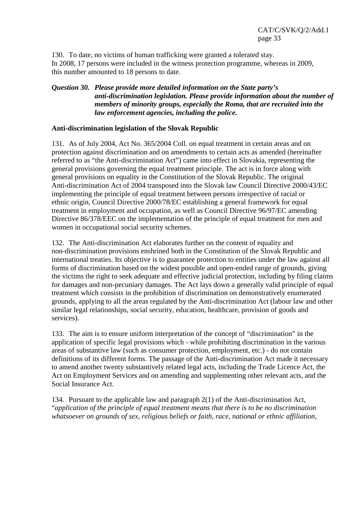130. To date, no victims of human trafficking were granted a tolerated stay. In 2008, 17 persons were included in the witness protection programme, whereas in 2009, this number amounted to 18 persons to date.

# *Question 30. Please provide more detailed information on the State party's anti-discrimination legislation. Please provide information about the number of members of minority groups, especially the Roma, that are recruited into the law enforcement agencies, including the police.*

#### **Anti-discrimination legislation of the Slovak Republic**

131. As of July 2004, Act No. 365/2004 Coll. on equal treatment in certain areas and on protection against discrimination and on amendments to certain acts as amended (hereinafter referred to as "the Anti-discrimination Act") came into effect in Slovakia, representing the general provisions governing the equal treatment principle. The act is in force along with general provisions on equality in the Constitution of the Slovak Republic. The original Anti-discrimination Act of 2004 transposed into the Slovak law Council Directive 2000/43/EC implementing the principle of equal treatment between persons irrespective of racial or ethnic origin, Council Directive 2000/78/EC establishing a general framework for equal treatment in employment and occupation, as well as Council Directive 96/97/EC amending Directive 86/378/EEC on the implementation of the principle of equal treatment for men and women in occupational social security schemes.

132. The Anti-discrimination Act elaborates further on the content of equality and non-discrimination provisions enshrined both in the Constitution of the Slovak Republic and international treaties. Its objective is to guarantee protection to entities under the law against all forms of discrimination based on the widest possible and open-ended range of grounds, giving the victims the right to seek adequate and effective judicial protection, including by filing claims for damages and non-pecuniary damages. The Act lays down a generally valid principle of equal treatment which consists in the prohibition of discrimination on demonstratively enumerated grounds, applying to all the areas regulated by the Anti-discrimination Act (labour law and other similar legal relationships, social security, education, healthcare, provision of goods and services).

133. The aim is to ensure uniform interpretation of the concept of "discrimination" in the application of specific legal provisions which - while prohibiting discrimination in the various areas of substantive law (such as consumer protection, employment, etc.) - do not contain definitions of its different forms. The passage of the Anti-discrimination Act made it necessary to amend another twenty substantively related legal acts, including the Trade Licence Act, the Act on Employment Services and on amending and supplementing other relevant acts, and the Social Insurance Act.

134. Pursuant to the applicable law and paragraph 2(1) of the Anti-discrimination Act, "*application of the principle of equal treatment means that there is to be no discrimination whatsoever on grounds of sex, religious beliefs or faith, race, national or ethnic affiliation,*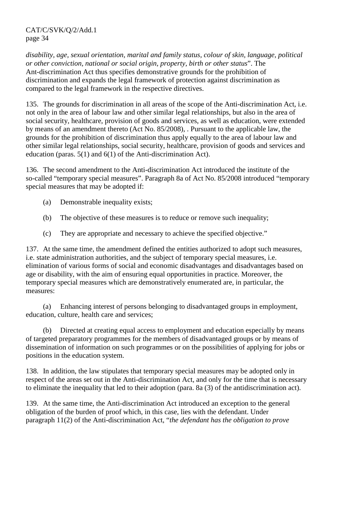*disability, age, sexual orientation, marital and family status, colour of skin, language, political or other conviction, national or social origin, property, birth or other status*". The Ant-discrimination Act thus specifies demonstrative grounds for the prohibition of discrimination and expands the legal framework of protection against discrimination as compared to the legal framework in the respective directives.

135. The grounds for discrimination in all areas of the scope of the Anti-discrimination Act, i.e. not only in the area of labour law and other similar legal relationships, but also in the area of social security, healthcare, provision of goods and services, as well as education, were extended by means of an amendment thereto (Act No. 85/2008), . Pursuant to the applicable law, the grounds for the prohibition of discrimination thus apply equally to the area of labour law and other similar legal relationships, social security, healthcare, provision of goods and services and education (paras. 5(1) and 6(1) of the Anti-discrimination Act).

136. The second amendment to the Anti-discrimination Act introduced the institute of the so-called "temporary special measures". Paragraph 8a of Act No. 85/2008 introduced "temporary special measures that may be adopted if:

- (a) Demonstrable inequality exists;
- (b) The objective of these measures is to reduce or remove such inequality;
- (c) They are appropriate and necessary to achieve the specified objective."

137. At the same time, the amendment defined the entities authorized to adopt such measures, i.e. state administration authorities, and the subject of temporary special measures, i.e. elimination of various forms of social and economic disadvantages and disadvantages based on age or disability, with the aim of ensuring equal opportunities in practice. Moreover, the temporary special measures which are demonstratively enumerated are, in particular, the measures:

 (a) Enhancing interest of persons belonging to disadvantaged groups in employment, education, culture, health care and services;

 (b) Directed at creating equal access to employment and education especially by means of targeted preparatory programmes for the members of disadvantaged groups or by means of dissemination of information on such programmes or on the possibilities of applying for jobs or positions in the education system.

138. In addition, the law stipulates that temporary special measures may be adopted only in respect of the areas set out in the Anti-discrimination Act, and only for the time that is necessary to eliminate the inequality that led to their adoption (para. 8a (3) of the antidiscrimination act).

139. At the same time, the Anti-discrimination Act introduced an exception to the general obligation of the burden of proof which, in this case, lies with the defendant. Under paragraph 11(2) of the Anti-discrimination Act, "*the defendant has the obligation to prove*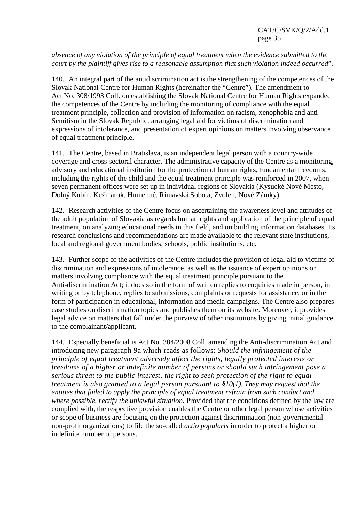*absence of any violation of the principle of equal treatment when the evidence submitted to the court by the plaintiff gives rise to a reasonable assumption that such violation indeed occurred*".

140. An integral part of the antidiscrimination act is the strengthening of the competences of the Slovak National Centre for Human Rights (hereinafter the "Centre"). The amendment to Act No. 308/1993 Coll. on establishing the Slovak National Centre for Human Rights expanded the competences of the Centre by including the monitoring of compliance with the equal treatment principle, collection and provision of information on racism, xenophobia and anti-Semitism in the Slovak Republic, arranging legal aid for victims of discrimination and expressions of intolerance, and presentation of expert opinions on matters involving observance of equal treatment principle.

141. The Centre, based in Bratislava, is an independent legal person with a country-wide coverage and cross-sectoral character. The administrative capacity of the Centre as a monitoring, advisory and educational institution for the protection of human rights, fundamental freedoms, including the rights of the child and the equal treatment principle was reinforced in 2007, when seven permanent offices were set up in individual regions of Slovakia (Kysucké Nové Mesto, Dolný Kubín, Kežmarok, Humenné, Rimavská Sobota, Zvolen, Nové Zámky).

142. Research activities of the Centre focus on ascertaining the awareness level and attitudes of the adult population of Slovakia as regards human rights and application of the principle of equal treatment, on analyzing educational needs in this field, and on building information databases. Its research conclusions and recommendations are made available to the relevant state institutions, local and regional government bodies, schools, public institutions, etc.

143. Further scope of the activities of the Centre includes the provision of legal aid to victims of discrimination and expressions of intolerance, as well as the issuance of expert opinions on matters involving compliance with the equal treatment principle pursuant to the Anti-discrimination Act; it does so in the form of written replies to enquiries made in person, in writing or by telephone, replies to submissions, complaints or requests for assistance, or in the form of participation in educational, information and media campaigns. The Centre also prepares case studies on discrimination topics and publishes them on its website. Moreover, it provides legal advice on matters that fall under the purview of other institutions by giving initial guidance to the complainant/applicant.

144. Especially beneficial is Act No. 384/2008 Coll. amending the Anti-discrimination Act and introducing new paragraph 9a which reads as follows: *Should the infringement of the principle of equal treatment adversely affect the rights, legally protected interests or freedoms of a higher or indefinite number of persons or should such infringement pose a serious threat to the public interest, the right to seek protection of the right to equal treatment is also granted to a legal person pursuant to §10(1). They may request that the entities that failed to apply the principle of equal treatment refrain from such conduct and, where possible, rectify the unlawful situation.* Provided that the conditions defined by the law are complied with, the respective provision enables the Centre or other legal person whose activities or scope of business are focusing on the protection against discrimination (non-governmental non-profit organizations) to file the so-called *actio popularis* in order to protect a higher or indefinite number of persons.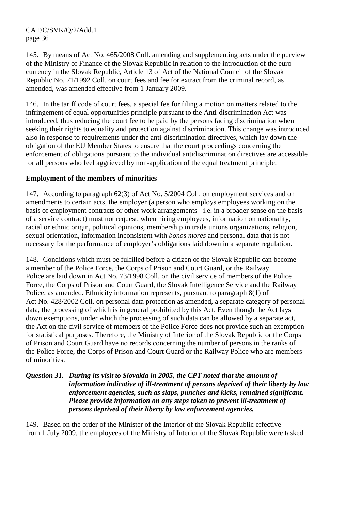145. By means of Act No. 465/2008 Coll. amending and supplementing acts under the purview of the Ministry of Finance of the Slovak Republic in relation to the introduction of the euro currency in the Slovak Republic, Article 13 of Act of the National Council of the Slovak Republic No. 71/1992 Coll. on court fees and fee for extract from the criminal record, as amended, was amended effective from 1 January 2009.

146. In the tariff code of court fees, a special fee for filing a motion on matters related to the infringement of equal opportunities principle pursuant to the Anti-discrimination Act was introduced, thus reducing the court fee to be paid by the persons facing discrimination when seeking their rights to equality and protection against discrimination. This change was introduced also in response to requirements under the anti-discrimination directives, which lay down the obligation of the EU Member States to ensure that the court proceedings concerning the enforcement of obligations pursuant to the individual antidiscrimination directives are accessible for all persons who feel aggrieved by non-application of the equal treatment principle.

# **Employment of the members of minorities**

147. According to paragraph 62(3) of Act No. 5/2004 Coll. on employment services and on amendments to certain acts, the employer (a person who employs employees working on the basis of employment contracts or other work arrangements - i.e. in a broader sense on the basis of a service contract) must not request, when hiring employees, information on nationality, racial or ethnic origin, political opinions, membership in trade unions organizations, religion, sexual orientation, information inconsistent with *bonos mores* and personal data that is not necessary for the performance of employer's obligations laid down in a separate regulation.

148. Conditions which must be fulfilled before a citizen of the Slovak Republic can become a member of the Police Force, the Corps of Prison and Court Guard, or the Railway Police are laid down in Act No. 73/1998 Coll. on the civil service of members of the Police Force, the Corps of Prison and Court Guard, the Slovak Intelligence Service and the Railway Police, as amended. Ethnicity information represents, pursuant to paragraph 8(1) of Act No. 428/2002 Coll. on personal data protection as amended, a separate category of personal data, the processing of which is in general prohibited by this Act. Even though the Act lays down exemptions, under which the processing of such data can be allowed by a separate act, the Act on the civil service of members of the Police Force does not provide such an exemption for statistical purposes. Therefore, the Ministry of Interior of the Slovak Republic or the Corps of Prison and Court Guard have no records concerning the number of persons in the ranks of the Police Force, the Corps of Prison and Court Guard or the Railway Police who are members of minorities.

# *Question 31. During its visit to Slovakia in 2005, the CPT noted that the amount of information indicative of ill-treatment of persons deprived of their liberty by law enforcement agencies, such as slaps, punches and kicks, remained significant. Please provide information on any steps taken to prevent ill-treatment of persons deprived of their liberty by law enforcement agencies.*

149. Based on the order of the Minister of the Interior of the Slovak Republic effective from 1 July 2009, the employees of the Ministry of Interior of the Slovak Republic were tasked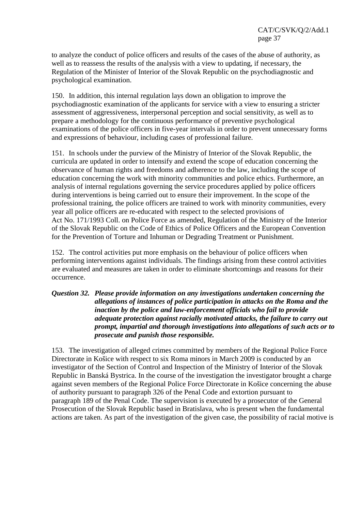to analyze the conduct of police officers and results of the cases of the abuse of authority, as well as to reassess the results of the analysis with a view to updating, if necessary, the Regulation of the Minister of Interior of the Slovak Republic on the psychodiagnostic and psychological examination.

150. In addition, this internal regulation lays down an obligation to improve the psychodiagnostic examination of the applicants for service with a view to ensuring a stricter assessment of aggressiveness, interpersonal perception and social sensitivity, as well as to prepare a methodology for the continuous performance of preventive psychological examinations of the police officers in five-year intervals in order to prevent unnecessary forms and expressions of behaviour, including cases of professional failure.

151. In schools under the purview of the Ministry of Interior of the Slovak Republic, the curricula are updated in order to intensify and extend the scope of education concerning the observance of human rights and freedoms and adherence to the law, including the scope of education concerning the work with minority communities and police ethics. Furthermore, an analysis of internal regulations governing the service procedures applied by police officers during interventions is being carried out to ensure their improvement. In the scope of the professional training, the police officers are trained to work with minority communities, every year all police officers are re-educated with respect to the selected provisions of Act No. 171/1993 Coll. on Police Force as amended, Regulation of the Ministry of the Interior of the Slovak Republic on the Code of Ethics of Police Officers and the European Convention for the Prevention of Torture and Inhuman or Degrading Treatment or Punishment.

152. The control activities put more emphasis on the behaviour of police officers when performing interventions against individuals. The findings arising from these control activities are evaluated and measures are taken in order to eliminate shortcomings and reasons for their occurrence.

# *Question 32. Please provide information on any investigations undertaken concerning the allegations of instances of police participation in attacks on the Roma and the inaction by the police and law-enforcement officials who fail to provide adequate protection against racially motivated attacks, the failure to carry out prompt, impartial and thorough investigations into allegations of such acts or to prosecute and punish those responsible.*

153. The investigation of alleged crimes committed by members of the Regional Police Force Directorate in Košice with respect to six Roma minors in March 2009 is conducted by an investigator of the Section of Control and Inspection of the Ministry of Interior of the Slovak Republic in Banská Bystrica. In the course of the investigation the investigator brought a charge against seven members of the Regional Police Force Directorate in Košice concerning the abuse of authority pursuant to paragraph 326 of the Penal Code and extortion pursuant to paragraph 189 of the Penal Code. The supervision is executed by a prosecutor of the General Prosecution of the Slovak Republic based in Bratislava, who is present when the fundamental actions are taken. As part of the investigation of the given case, the possibility of racial motive is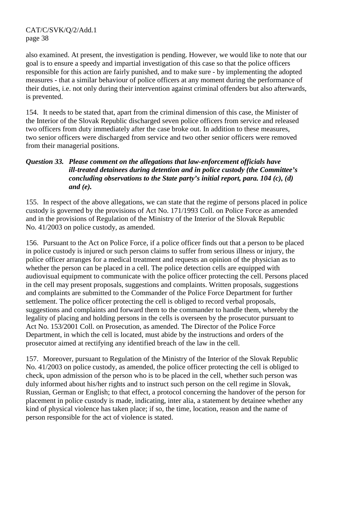also examined. At present, the investigation is pending. However, we would like to note that our goal is to ensure a speedy and impartial investigation of this case so that the police officers responsible for this action are fairly punished, and to make sure - by implementing the adopted measures - that a similar behaviour of police officers at any moment during the performance of their duties, i.e. not only during their intervention against criminal offenders but also afterwards, is prevented.

154. It needs to be stated that, apart from the criminal dimension of this case, the Minister of the Interior of the Slovak Republic discharged seven police officers from service and released two officers from duty immediately after the case broke out. In addition to these measures, two senior officers were discharged from service and two other senior officers were removed from their managerial positions.

# *Question 33. Please comment on the allegations that law-enforcement officials have ill-treated detainees during detention and in police custody (the Committee's concluding observations to the State party's initial report, para. 104 (c), (d) and (e).*

155. In respect of the above allegations, we can state that the regime of persons placed in police custody is governed by the provisions of Act No. 171/1993 Coll. on Police Force as amended and in the provisions of Regulation of the Ministry of the Interior of the Slovak Republic No. 41/2003 on police custody, as amended.

156. Pursuant to the Act on Police Force, if a police officer finds out that a person to be placed in police custody is injured or such person claims to suffer from serious illness or injury, the police officer arranges for a medical treatment and requests an opinion of the physician as to whether the person can be placed in a cell. The police detection cells are equipped with audiovisual equipment to communicate with the police officer protecting the cell. Persons placed in the cell may present proposals, suggestions and complaints. Written proposals, suggestions and complaints are submitted to the Commander of the Police Force Department for further settlement. The police officer protecting the cell is obliged to record verbal proposals, suggestions and complaints and forward them to the commander to handle them, whereby the legality of placing and holding persons in the cells is overseen by the prosecutor pursuant to Act No. 153/2001 Coll. on Prosecution, as amended. The Director of the Police Force Department, in which the cell is located, must abide by the instructions and orders of the prosecutor aimed at rectifying any identified breach of the law in the cell.

157. Moreover, pursuant to Regulation of the Ministry of the Interior of the Slovak Republic No. 41/2003 on police custody, as amended, the police officer protecting the cell is obliged to check, upon admission of the person who is to be placed in the cell, whether such person was duly informed about his/her rights and to instruct such person on the cell regime in Slovak, Russian, German or English; to that effect, a protocol concerning the handover of the person for placement in police custody is made, indicating, inter alia, a statement by detainee whether any kind of physical violence has taken place; if so, the time, location, reason and the name of person responsible for the act of violence is stated.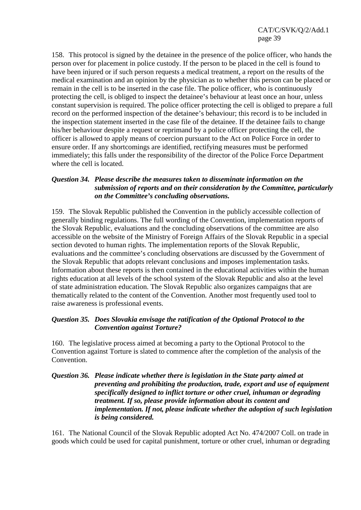158. This protocol is signed by the detainee in the presence of the police officer, who hands the person over for placement in police custody. If the person to be placed in the cell is found to have been injured or if such person requests a medical treatment, a report on the results of the medical examination and an opinion by the physician as to whether this person can be placed or remain in the cell is to be inserted in the case file. The police officer, who is continuously protecting the cell, is obliged to inspect the detainee's behaviour at least once an hour, unless constant supervision is required. The police officer protecting the cell is obliged to prepare a full record on the performed inspection of the detainee's behaviour; this record is to be included in the inspection statement inserted in the case file of the detainee. If the detainee fails to change his/her behaviour despite a request or reprimand by a police officer protecting the cell, the officer is allowed to apply means of coercion pursuant to the Act on Police Force in order to ensure order. If any shortcomings are identified, rectifying measures must be performed immediately; this falls under the responsibility of the director of the Police Force Department where the cell is located.

# *Question 34. Please describe the measures taken to disseminate information on the submission of reports and on their consideration by the Committee, particularly on the Committee's concluding observations.*

159. The Slovak Republic published the Convention in the publicly accessible collection of generally binding regulations. The full wording of the Convention, implementation reports of the Slovak Republic, evaluations and the concluding observations of the committee are also accessible on the website of the Ministry of Foreign Affairs of the Slovak Republic in a special section devoted to human rights. The implementation reports of the Slovak Republic, evaluations and the committee's concluding observations are discussed by the Government of the Slovak Republic that adopts relevant conclusions and imposes implementation tasks. Information about these reports is then contained in the educational activities within the human rights education at all levels of the school system of the Slovak Republic and also at the level of state administration education. The Slovak Republic also organizes campaigns that are thematically related to the content of the Convention. Another most frequently used tool to raise awareness is professional events.

# *Question 35. Does Slovakia envisage the ratification of the Optional Protocol to the Convention against Torture?*

160. The legislative process aimed at becoming a party to the Optional Protocol to the Convention against Torture is slated to commence after the completion of the analysis of the Convention.

# *Question 36. Please indicate whether there is legislation in the State party aimed at preventing and prohibiting the production, trade, export and use of equipment specifically designed to inflict torture or other cruel, inhuman or degrading treatment. If so, please provide information about its content and implementation. If not, please indicate whether the adoption of such legislation is being considered.*

161. The National Council of the Slovak Republic adopted Act No. 474/2007 Coll. on trade in goods which could be used for capital punishment, torture or other cruel, inhuman or degrading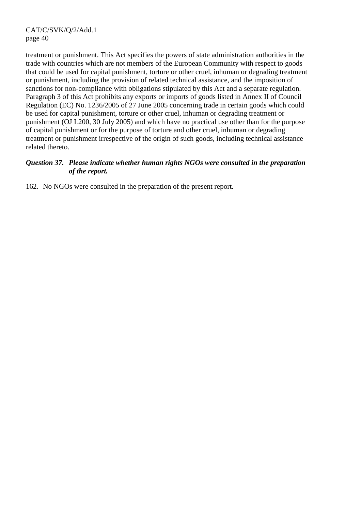treatment or punishment. This Act specifies the powers of state administration authorities in the trade with countries which are not members of the European Community with respect to goods that could be used for capital punishment, torture or other cruel, inhuman or degrading treatment or punishment, including the provision of related technical assistance, and the imposition of sanctions for non-compliance with obligations stipulated by this Act and a separate regulation. Paragraph 3 of this Act prohibits any exports or imports of goods listed in Annex II of Council Regulation (EC) No. 1236/2005 of 27 June 2005 concerning trade in certain goods which could be used for capital punishment, torture or other cruel, inhuman or degrading treatment or punishment (OJ L200, 30 July 2005) and which have no practical use other than for the purpose of capital punishment or for the purpose of torture and other cruel, inhuman or degrading treatment or punishment irrespective of the origin of such goods, including technical assistance related thereto.

# *Question 37. Please indicate whether human rights NGOs were consulted in the preparation of the report.*

162. No NGOs were consulted in the preparation of the present report.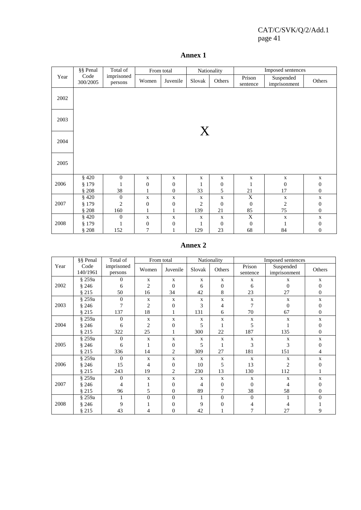|      | §§ Penal         | Total of              |                   | From total            |                               | Nationality            |                        | Imposed sentences         |                                      |  |  |
|------|------------------|-----------------------|-------------------|-----------------------|-------------------------------|------------------------|------------------------|---------------------------|--------------------------------------|--|--|
| Year | Code<br>300/2005 | imprisoned<br>persons | Women<br>Juvenile |                       | Slovak                        | Others                 | Prison<br>sentence     | Suspended<br>imprisonment | Others                               |  |  |
| 2002 |                  |                       |                   |                       |                               |                        |                        |                           |                                      |  |  |
| 2003 |                  |                       |                   |                       | X                             |                        |                        |                           |                                      |  |  |
| 2004 |                  |                       |                   |                       |                               |                        |                        |                           |                                      |  |  |
| 2005 |                  |                       |                   |                       |                               |                        |                        |                           |                                      |  |  |
|      | $§$ 420          | $\boldsymbol{0}$      | $\mathbf X$       | $\mathbf X$           | $\mathbf X$                   | X                      | $\mathbf X$            | $\mathbf X$               | $\mathbf X$                          |  |  |
| 2006 | § 179            | 1                     | $\boldsymbol{0}$  | $\mathbf{0}$          | $\mathbf{1}$                  | $\boldsymbol{0}$       | $\mathbf{1}$           | $\overline{0}$            | $\boldsymbol{0}$                     |  |  |
|      | §208             | 38                    |                   | $\boldsymbol{0}$      | 33                            | 5                      | 21                     | 17                        | $\boldsymbol{0}$                     |  |  |
|      | $§$ 420          | $\boldsymbol{0}$      | $\mathbf X$       | $\mathbf X$           | $\mathbf X$<br>$\overline{2}$ | $\mathbf X$            | $\mathbf X$            | $\mathbf X$               | $\mathbf X$                          |  |  |
| 2007 | \$179<br>§208    | $\overline{c}$<br>160 | $\boldsymbol{0}$  | $\boldsymbol{0}$<br>1 | 139                           | $\boldsymbol{0}$<br>21 | $\boldsymbol{0}$<br>85 | $\mathfrak{2}$<br>75      | $\boldsymbol{0}$<br>$\boldsymbol{0}$ |  |  |
|      | $§$ 420          | $\boldsymbol{0}$      | $\mathbf X$       | $\mathbf X$           | $\mathbf X$                   | $\mathbf X$            | X                      | $\mathbf X$               | $\mathbf X$                          |  |  |
| 2008 | § 179            | 1                     | $\boldsymbol{0}$  | $\boldsymbol{0}$      | 1                             | $\boldsymbol{0}$       | $\boldsymbol{0}$       | 1                         | $\boldsymbol{0}$                     |  |  |
|      | §208             | 152                   | 7                 | 1                     | 129                           | 23                     | 68                     | 84                        | $\boldsymbol{0}$                     |  |  |

# **Annex 1**

# **Annex 2**

|      | §§ Penal | Total of       | From total     |                |             | Nationality<br>Imposed sentences |              |                |                  |  |
|------|----------|----------------|----------------|----------------|-------------|----------------------------------|--------------|----------------|------------------|--|
| Year | Code     | imprisoned     | Women          | Juvenile       | Slovak      | Others                           | Prison       | Suspended      | Others           |  |
|      | 140/1961 | persons        |                |                |             |                                  | sentence     | imprisonment   |                  |  |
|      | § 259a   | $\theta$       | X              | $\mathbf{X}$   | X           | $\mathbf X$                      | $\mathbf X$  | X              | X                |  |
| 2002 | §246     | 6              | $\overline{2}$ | $\overline{0}$ | 6           | $\Omega$                         | 6            | $\Omega$       | $\overline{0}$   |  |
|      | §215     | 50             | 16             | 34             | 42          | 8                                | 23           | 27             | 0                |  |
|      | § 259a   | $\overline{0}$ | X              | $\mathbf X$    | X           | $\mathbf X$                      | X            | $\mathbf X$    | X                |  |
| 2003 | \$246    | 7              | 2              | $\overline{0}$ | 3           | 4                                | 7            | $\overline{0}$ | 0                |  |
|      | § 215    | 137            | 18             |                | 131         | 6                                | 70           | 67             | $\overline{0}$   |  |
|      | § 259a   | $\theta$       | $\mathbf X$    | $\mathbf{X}$   | X           | $\mathbf{X}$                     | $\mathbf{x}$ | $\mathbf X$    | $\mathbf{X}$     |  |
| 2004 | § 246    | 6              | $\overline{2}$ | $\overline{0}$ | 5           |                                  | 5            |                | $\overline{0}$   |  |
|      | § 215    | 322            | 25             |                | 300         | 22                               | 187          | 135            | $\boldsymbol{0}$ |  |
|      | § 259a   | $\theta$       | $\mathbf X$    | $\mathbf X$    | X           | $\mathbf X$                      | X            | X              | X                |  |
| 2005 | §246     | 6              |                | $\overline{0}$ | 5           |                                  | 3            | 3              | $\Omega$         |  |
|      | §215     | 336            | 14             | $\overline{c}$ | 309         | 27                               | 181          | 151            | 4                |  |
|      | § 259a   | $\overline{0}$ | $\mathbf X$    | $\mathbf X$    | $\mathbf X$ | $\mathbf X$                      | X            | $\mathbf X$    | X                |  |
| 2006 | \$246    | 15             | 4              | $\overline{0}$ | 10          | 5                                | 13           | $\overline{2}$ | 0                |  |
|      | § 215    | 243            | 19             | 2              | 230         | 13                               | 130          | 112            |                  |  |
|      | § 259a   | $\Omega$       | $\mathbf X$    | $\mathbf{X}$   | X           | $\mathbf{X}$                     | $\mathbf X$  | $\mathbf X$    | $\mathbf{X}$     |  |
| 2007 | §246     | 4              |                | $\overline{0}$ | 4           | $\Omega$                         | $\theta$     | 4              | $\overline{0}$   |  |
|      | § 215    | 96             | 5              | $\theta$       | 89          |                                  | 38           | 58             | $\overline{0}$   |  |
|      | § 259a   | 1              | $\theta$       | $\mathbf{0}$   |             | $\Omega$                         | $\Omega$     |                | $\theta$         |  |
| 2008 | \$246    | 9              |                | 0              | 9           | $\Omega$                         |              |                |                  |  |
|      | § 215    | 43             | 4              | 0              | 42          |                                  |              | 27             | 9                |  |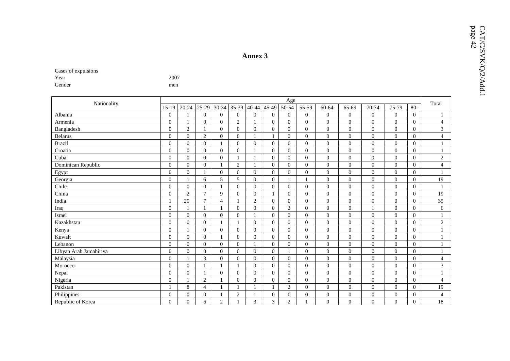| t vai  |  |  |
|--------|--|--|
| Gender |  |  |

|                        |                  |                  |                  |                |                  | <b>Annex 3</b>   |                  |                  |                  |                  |                |                |                  |                |                | page $42$ |
|------------------------|------------------|------------------|------------------|----------------|------------------|------------------|------------------|------------------|------------------|------------------|----------------|----------------|------------------|----------------|----------------|-----------|
|                        |                  |                  |                  |                |                  |                  |                  |                  |                  |                  |                |                |                  |                |                |           |
| Cases of expulsions    | 2007             |                  |                  |                |                  |                  |                  |                  |                  |                  |                |                |                  |                |                |           |
| Year<br>Gender         |                  |                  |                  |                |                  |                  |                  |                  |                  |                  |                |                |                  |                |                |           |
|                        | men              |                  |                  |                |                  |                  |                  |                  |                  |                  |                |                |                  |                |                |           |
|                        |                  |                  |                  |                |                  |                  |                  | Age              |                  |                  |                |                |                  |                |                |           |
| Nationality            | $15-19$          | $20 - 24$        | 25-29            | $30 - 34$      | 35-39            | $40 - 44$        | 45-49            | 50-54            | 55-59            | 60-64            | 65-69          | 70-74          | 75-79            | $80-$          | Total          |           |
| Albania                | $\boldsymbol{0}$ | 1                | $\boldsymbol{0}$ | $\mathbf{0}$   | $\boldsymbol{0}$ | $\boldsymbol{0}$ | $\overline{0}$   | $\overline{0}$   | $\overline{0}$   | $\mathbf{0}$     | $\overline{0}$ | $\mathbf{0}$   | $\mathbf{0}$     | $\overline{0}$ | $\mathbf{1}$   |           |
| Armenia                | $\overline{0}$   | $\mathbf{1}$     | $\overline{0}$   | $\overline{0}$ | $\overline{c}$   | 1                | $\overline{0}$   | $\overline{0}$   | $\overline{0}$   | $\overline{0}$   | $\mathbf{0}$   | $\mathbf{0}$   | $\overline{0}$   | $\mathbf{0}$   | $\overline{4}$ |           |
| Bangladesh             | $\mathbf{0}$     | $\overline{c}$   | $\mathbf{1}$     | $\overline{0}$ | $\mathbf{0}$     | $\overline{0}$   | $\overline{0}$   | $\overline{0}$   | $\mathbf{0}$     | $\mathbf{0}$     | $\mathbf{0}$   | $\mathbf{0}$   | $\boldsymbol{0}$ | $\overline{0}$ | 3              |           |
| <b>Belarus</b>         | $\boldsymbol{0}$ | $\overline{0}$   | $\sqrt{2}$       | $\mathbf{0}$   | $\mathbf{0}$     |                  | $\mathbf{1}$     | $\overline{0}$   | $\boldsymbol{0}$ | $\overline{0}$   | $\mathbf{0}$   | $\mathbf{0}$   | $\overline{0}$   | $\mathbf{0}$   | $\overline{4}$ |           |
| <b>Brazil</b>          | $\boldsymbol{0}$ | $\Omega$         | $\boldsymbol{0}$ | $\mathbf{1}$   | $\mathbf{0}$     | $\boldsymbol{0}$ | $\overline{0}$   | $\Omega$         | $\Omega$         | $\Omega$         | $\Omega$       | $\Omega$       | $\Omega$         | $\theta$       |                |           |
| Croatia                | $\overline{0}$   | $\overline{0}$   | $\overline{0}$   | $\overline{0}$ | $\overline{0}$   |                  | $\overline{0}$   | $\overline{0}$   | $\overline{0}$   | $\mathbf{0}$     | $\mathbf{0}$   | $\mathbf{0}$   | $\overline{0}$   | $\overline{0}$ |                |           |
| Cuba                   | $\mathbf{0}$     | $\overline{0}$   | $\overline{0}$   | $\overline{0}$ | 1                | $\mathbf{1}$     | $\overline{0}$   | $\overline{0}$   | $\overline{0}$   | $\theta$         | $\overline{0}$ | $\mathbf{0}$   | $\mathbf{0}$     | $\overline{0}$ | 2              |           |
| Dominican Republic     | $\mathbf{0}$     | $\theta$         | $\overline{0}$   | 1              | $\sqrt{2}$       |                  | $\overline{0}$   | $\overline{0}$   | $\overline{0}$   | $\Omega$         | $\mathbf{0}$   | $\Omega$       | $\mathbf{0}$     | $\overline{0}$ | $\overline{4}$ |           |
| Egypt                  | $\mathbf{0}$     | $\theta$         | $\mathbf{1}$     | $\overline{0}$ | $\overline{0}$   | $\overline{0}$   | $\overline{0}$   | $\overline{0}$   | $\Omega$         | $\Omega$         | $\Omega$       | $\theta$       | $\theta$         | $\theta$       | $\mathbf{1}$   |           |
| Georgia                | $\overline{0}$   | -1               | 6                | 5              | 5                | $\overline{0}$   | $\overline{0}$   | 1                |                  | $\Omega$         | $\Omega$       | $\mathbf{0}$   | $\mathbf{0}$     | $\overline{0}$ | 19             |           |
| Chile                  | $\boldsymbol{0}$ | $\overline{0}$   | $\mathbf{0}$     | $\mathbf{1}$   | $\mathbf{0}$     | $\overline{0}$   | $\mathbf{0}$     | $\overline{0}$   | $\overline{0}$   | $\mathbf{0}$     | $\overline{0}$ | $\overline{0}$ | $\overline{0}$   | $\theta$       | $\mathbf{1}$   |           |
| China                  | $\mathbf{0}$     | $\overline{c}$   | $\overline{7}$   | 9              | $\mathbf{0}$     | $\overline{0}$   | $\mathbf{1}$     | $\overline{0}$   | $\boldsymbol{0}$ | $\mathbf{0}$     | $\mathbf{0}$   | $\overline{0}$ | $\mathbf{0}$     | $\mathbf{0}$   | 19             |           |
| India                  | $\mathbf{1}$     | 20               | $\tau$           | $\overline{4}$ | -1               | $\overline{2}$   | $\overline{0}$   | $\overline{0}$   | $\overline{0}$   | $\overline{0}$   | $\mathbf{0}$   | $\mathbf{0}$   | $\mathbf{0}$     | $\overline{0}$ | 35             |           |
| Iraq                   | $\boldsymbol{0}$ | $\mathbf{1}$     | $\mathbf{1}$     | $\mathbf{1}$   | $\overline{0}$   | $\overline{0}$   | $\overline{0}$   | 2                | $\overline{0}$   | $\theta$         | $\overline{0}$ | $\overline{1}$ | $\overline{0}$   | $\overline{0}$ | 6              |           |
| Israel                 | $\boldsymbol{0}$ | $\mathbf{0}$     | $\overline{0}$   | $\overline{0}$ | $\overline{0}$   | $\mathbf{1}$     | $\overline{0}$   | $\overline{0}$   | $\overline{0}$   | $\mathbf{0}$     | $\overline{0}$ | $\overline{0}$ | $\overline{0}$   | $\mathbf{0}$   | $\mathbf{1}$   |           |
| Kazakhstan             | $\overline{0}$   | $\overline{0}$   | $\overline{0}$   | $\mathbf{1}$   | $\mathbf{1}$     | $\overline{0}$   | $\overline{0}$   | $\overline{0}$   | $\Omega$         | $\theta$         | $\Omega$       | $\theta$       | $\overline{0}$   | $\theta$       | 2              |           |
| Kenya                  | $\boldsymbol{0}$ | $\mathbf{1}$     | $\overline{0}$   | $\overline{0}$ | $\overline{0}$   | $\overline{0}$   | $\overline{0}$   | $\overline{0}$   | $\overline{0}$   | $\theta$         | $\overline{0}$ | $\mathbf{0}$   | $\overline{0}$   | $\overline{0}$ | -1             |           |
| Kuwait                 | $\boldsymbol{0}$ | $\boldsymbol{0}$ | $\boldsymbol{0}$ | 1              | $\mathbf{0}$     | $\boldsymbol{0}$ | $\overline{0}$   | $\boldsymbol{0}$ | $\boldsymbol{0}$ | $\boldsymbol{0}$ | $\mathbf{0}$   | $\overline{0}$ | $\boldsymbol{0}$ | $\mathbf{0}$   | 1              |           |
| Lebanon                | $\boldsymbol{0}$ | $\boldsymbol{0}$ | $\mathbf{0}$     | $\overline{0}$ | $\boldsymbol{0}$ | $\mathbf{1}$     | $\mathbf{0}$     | $\overline{0}$   | $\overline{0}$   | $\mathbf{0}$     | $\mathbf{0}$   | $\mathbf{0}$   | $\overline{0}$   | $\mathbf{0}$   | 1              |           |
| Libyan Arab Jamahiriya | $\overline{0}$   | $\overline{0}$   | $\overline{0}$   | $\mathbf{0}$   | $\overline{0}$   | $\overline{0}$   | $\overline{0}$   | $\mathbf{1}$     | $\overline{0}$   | $\mathbf{0}$     | $\overline{0}$ | $\mathbf{0}$   | $\mathbf{0}$     | $\overline{0}$ |                |           |
| Malaysia               | $\boldsymbol{0}$ | 1                | 3                | $\mathbf{0}$   | $\mathbf{0}$     | $\overline{0}$   | $\overline{0}$   | $\overline{0}$   | $\overline{0}$   | $\theta$         | $\mathbf{0}$   | $\mathbf{0}$   | $\mathbf{0}$     | $\overline{0}$ | $\overline{4}$ |           |
| Morocco                | $\boldsymbol{0}$ | $\overline{0}$   | $\mathbf{1}$     | 1              | 1                | $\boldsymbol{0}$ | $\overline{0}$   | $\overline{0}$   | $\overline{0}$   | $\mathbf{0}$     | $\overline{0}$ | $\overline{0}$ | $\overline{0}$   | $\overline{0}$ | 3              |           |
| Nepal                  | $\overline{0}$   | $\Omega$         | $\overline{1}$   | $\Omega$       | $\overline{0}$   | $\overline{0}$   | $\overline{0}$   | $\Omega$         | $\Omega$         | $\Omega$         | $\Omega$       | $\theta$       | $\Omega$         | $\theta$       | 1              |           |
| Nigeria                | $\overline{0}$   | 1                | 2                | -1             | $\overline{0}$   | $\overline{0}$   | $\overline{0}$   | $\overline{0}$   | $\overline{0}$   | $\theta$         | $\overline{0}$ | $\mathbf{0}$   | $\overline{0}$   | $\overline{0}$ | $\overline{4}$ |           |
| Pakistan               | -1               | $\,8\,$          | $\overline{4}$   | -1             | -1               | 1                | $\mathbf{1}$     | $\overline{2}$   | $\overline{0}$   | $\mathbf{0}$     | $\Omega$       | $\overline{0}$ | $\overline{0}$   | $\overline{0}$ | 19             |           |
| Philippines            | $\boldsymbol{0}$ | $\overline{0}$   | $\overline{0}$   | 1              | $\overline{2}$   |                  | $\boldsymbol{0}$ | $\overline{0}$   | $\overline{0}$   | $\overline{0}$   | $\theta$       | $\overline{0}$ | $\mathbf{0}$     | $\overline{0}$ | $\overline{4}$ |           |
| Republic of Korea      | $\Omega$         | $\theta$         | 6                | 2              | $\mathbf{1}$     | 3                | 3                | $\overline{2}$   |                  | $\Omega$         | $\Omega$       | $\theta$       | $\theta$         | $\Omega$       | 18             |           |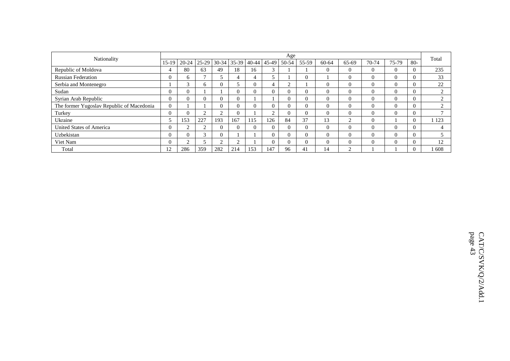|                                           |                |              |        |             |       |                 |               | Age       |          |          |          |              |          |              | Total   |
|-------------------------------------------|----------------|--------------|--------|-------------|-------|-----------------|---------------|-----------|----------|----------|----------|--------------|----------|--------------|---------|
| Nationality                               | 15-19          | $20-24$      |        | 25-29 30-34 | 35-39 |                 | $40-44$ 45-49 | 50-54     | 55-59    | 60-64    | 65-69    | 70-74        | 75-79    | $80 -$       |         |
| Republic of Moldova                       | 4              | -80          | 63     | 49          | 18    | $6 \frac{1}{2}$ | $\mathbf{R}$  |           |          | $\Omega$ | 0        | $\Omega$     | $\Omega$ |              | 235     |
| <b>Russian Federation</b>                 | $\Omega$       | <sub>6</sub> |        |             |       | 4               |               |           | 0        |          | 0        | $\mathbf{0}$ | $\theta$ |              | 33      |
| Serbia and Montenegro                     |                | 3            |        |             |       | $\Omega$        | 4             | $\bigcap$ |          | $\Omega$ | $\Omega$ | $\mathbf{0}$ | $\Omega$ |              | 22      |
| Sudan                                     | $\Omega$       | $\Omega$     |        |             | 0     | $\Omega$        |               | 0         | $\Omega$ | $\Omega$ | $\theta$ | $\Omega$     | $\Omega$ | $\Omega$     | $\sim$  |
| Syrian Arab Republic                      | $\overline{0}$ | $\Omega$     |        |             | 0     |                 |               | $\theta$  | $\Omega$ | $\Omega$ | 0        | $\mathbf{0}$ | $\theta$ | $\mathbf{0}$ | $\sim$  |
| The former Yugoslav Republic of Macedonia | $\theta$       |              |        |             | 0     | $\theta$        |               | 0         | $\Omega$ | $\Omega$ | $\Omega$ | $\Omega$     | $\Omega$ | $\Omega$     | $\sim$  |
| Turkey                                    | $\Omega$       | $\Omega$     | $\sim$ |             | 0     |                 | $\sim$        | $\theta$  | $\Omega$ | $\Omega$ | $\Omega$ | $\theta$     | $\Omega$ | $\Omega$     |         |
| Ukraine                                   |                | 153          | 227    | 193         | 167   | 115             | 26            | 84        | 37       | 13       | $\sim$   | $\mathbf{0}$ |          |              | 1 1 2 3 |
| <b>United States of America</b>           | $\Omega$       | $\bigcap$    | ◠      |             | 0     | $\theta$        |               | $\Omega$  |          | $\Omega$ | $\Omega$ | $\theta$     | $\Omega$ | $\Omega$     |         |
| Uzbekistan                                | $\Omega$       | $\Omega$     | $\sim$ | 0           |       |                 |               | 0         | $\Omega$ | $\Omega$ | $\Omega$ | $\theta$     | $\Omega$ | $\Omega$     |         |
| Viet Nam                                  | $\Omega$       | $\sim$       |        |             | ⌒     |                 |               | $\theta$  | 0        | $\Omega$ | 0        | $\theta$     | $\Omega$ |              | 12      |
| Total                                     | 12             | 286          | 359    | 282         | 214   | 153             | 147           | 96        | 41       | 14       |          |              |          |              | 608     |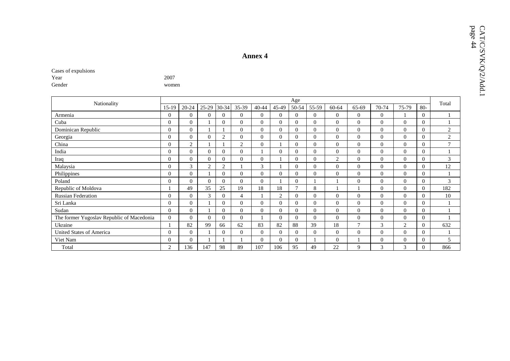| Nationality                               |              |                |                |                |                |              |                | Age      |                |                  |                |                |                |                | Total          |
|-------------------------------------------|--------------|----------------|----------------|----------------|----------------|--------------|----------------|----------|----------------|------------------|----------------|----------------|----------------|----------------|----------------|
|                                           | $15-19$      | 20-24          | 25-29          | 30-34          | 35-39          | 40-44        | 45-49          | 50-54    | 55-59          | 60-64            | 65-69          | 70-74          | 75-79          | $80-$          |                |
| Armenia                                   | $\Omega$     | $\Omega$       | $\Omega$       | $\Omega$       | $\Omega$       | $\Omega$     | $\Omega$       | 0        | $\overline{0}$ | $\theta$         | $\overline{0}$ | $\overline{0}$ |                | $\overline{0}$ |                |
| Cuba                                      | $\Omega$     | $\mathbf{0}$   |                | $\Omega$       | $\Omega$       | $\mathbf{0}$ | $\Omega$       | $\theta$ | $\theta$       | $\mathbf{0}$     | $\mathbf{0}$   | $\overline{0}$ | $\theta$       | $\overline{0}$ |                |
| Dominican Republic                        | $\theta$     | $\mathbf{0}$   |                |                | $\overline{0}$ | $\Omega$     | $\Omega$       | 0        | $\overline{0}$ | $\theta$         | $\overline{0}$ | $\overline{0}$ | $\mathbf{0}$   | $\overline{0}$ | $\overline{c}$ |
| Georgia                                   | $\Omega$     | $\mathbf{0}$   | $\overline{0}$ | $\overline{2}$ | $\overline{0}$ | $\Omega$     | $\Omega$       | 0        | $\overline{0}$ | $\mathbf{0}$     | $\overline{0}$ | $\mathbf{0}$   | $\theta$       | $\overline{0}$ | $\overline{c}$ |
| China                                     | $\Omega$     | $\overline{2}$ |                |                | 2              | $\Omega$     |                | $\theta$ | $\overline{0}$ | $\mathbf{0}$     | $\mathbf{0}$   | $\theta$       | $\Omega$       | $\mathbf{0}$   | $\mathcal{I}$  |
| India                                     | $\Omega$     | $\Omega$       | $\Omega$       | $\Omega$       | $\Omega$       |              | 0              | $\Omega$ | $\Omega$       | $\Omega$         | $\Omega$       | $\overline{0}$ | $\Omega$       | $\Omega$       |                |
| Iraq                                      | $\Omega$     | $\Omega$       | $\Omega$       | $\Omega$       | $\Omega$       | $\mathbf{0}$ |                | $\Omega$ | $\overline{0}$ | $\overline{2}$   | $\overline{0}$ | $\mathbf{0}$   | $\theta$       | $\overline{0}$ | 3              |
| Malaysia                                  | $\Omega$     | 3              | 2              | $\overline{c}$ |                | 3            |                | $\theta$ | $\overline{0}$ | $\theta$         | $\overline{0}$ | $\overline{0}$ | $\Omega$       | $\overline{0}$ | 12             |
| Philippines                               | $\Omega$     | $\theta$       |                | $\Omega$       | $\Omega$       | $\theta$     | $\overline{0}$ | $\Omega$ | $\overline{0}$ | $\theta$         | $\overline{0}$ | $\overline{0}$ | $\mathbf{0}$   | $\overline{0}$ |                |
| Poland                                    | $\Omega$     | $\theta$       | $\Omega$       | $\theta$       | $\Omega$       | $\Omega$     |                | 0        |                |                  | $\mathbf{0}$   | $\overline{0}$ | $\theta$       | $\overline{0}$ | 3              |
| Republic of Moldova                       |              | 49             | 35             | 25             | 19             | 18           | 18             |          | 8              |                  |                | $\overline{0}$ | $\Omega$       | $\overline{0}$ | 182            |
| <b>Russian Federation</b>                 | $\Omega$     | $\Omega$       | 3              | $\Omega$       | 4              |              | $\overline{c}$ | $\theta$ | $\overline{0}$ | $\theta$         | $\mathbf{0}$   | $\overline{0}$ | $\theta$       | $\overline{0}$ | 10             |
| Sri Lanka                                 | $\Omega$     | $\overline{0}$ |                | $\Omega$       | $\Omega$       | $\Omega$     | $\Omega$       | $\Omega$ | $\overline{0}$ | $\mathbf{0}$     | $\overline{0}$ | $\overline{0}$ | $\theta$       | 0              |                |
| Sudan                                     | $\mathbf{0}$ | $\overline{0}$ |                | $\theta$       | $\Omega$       | $\theta$     | $\Omega$       | $\Omega$ | $\overline{0}$ | $\boldsymbol{0}$ | $\overline{0}$ | $\overline{0}$ | $\mathbf{0}$   | $\overline{0}$ |                |
| The former Yugoslav Republic of Macedonia | $\mathbf{0}$ | $\theta$       | $\Omega$       | $\Omega$       | $\Omega$       |              | 0              | 0        | $\theta$       | $\theta$         | $\mathbf{0}$   | $\overline{0}$ | $\theta$       | $\overline{0}$ |                |
| Ukraine                                   |              | 82             | 99             | 66             | 62             | 83           | 82             | 88       | 39             | 18               | 7              | 3              | $\overline{2}$ | $\overline{0}$ | 632            |
| <b>United States of America</b>           | $\Omega$     | $\Omega$       |                | $\Omega$       | $\Omega$       | $\Omega$     | $\Omega$       | $\theta$ | $\theta$       | $\mathbf{0}$     | $\mathbf{0}$   | $\overline{0}$ | $\Omega$       | $\overline{0}$ |                |
| Viet Nam                                  | $\Omega$     | $\Omega$       |                |                |                | $\Omega$     | $\Omega$       | $\Omega$ |                | $\Omega$         |                | $\mathbf{0}$   | $\Omega$       | $\mathbf{0}$   | 5              |
| Total                                     | 2            | 136            | 147            | 98             | 89             | 107          | 106            | 95       | 49             | 22               | 9              | 3              | 3              | $\overline{0}$ | 866            |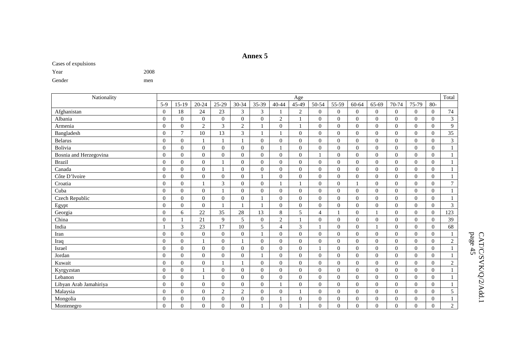#### **Annex 5**

Cases of expulsions

| Year   | 2008 |
|--------|------|
| Gender | men  |

| Nationality            | Age      |                  |                  |                |                |                |                  |                |                |                  |                |          | Total          |                |                |                |
|------------------------|----------|------------------|------------------|----------------|----------------|----------------|------------------|----------------|----------------|------------------|----------------|----------|----------------|----------------|----------------|----------------|
|                        | $5-9$    | $15-19$          | $20 - 24$        | $25-29$        | 30-34          | 35-39          | $40 - 44$        | 45-49          | 50-54          | 55-59            | 60-64          | 65-69    | 70-74          | 75-79          | $80-$          |                |
| Afghanistan            | $\Omega$ | 18               | 24               | 23             | 3              | 3              |                  | $\overline{2}$ | $\overline{0}$ | $\mathbf{0}$     | $\overline{0}$ | $\Omega$ | $\overline{0}$ | $\Omega$       | $\Omega$       | $74\,$         |
| Albania                | $\Omega$ | $\overline{0}$   | $\mathbf{0}$     | $\mathbf{0}$   | $\Omega$       | $\mathbf{0}$   | $\overline{c}$   |                | $\mathbf{0}$   | $\overline{0}$   | $\overline{0}$ | $\Omega$ | $\overline{0}$ | $\Omega$       | $\Omega$       | 3              |
| Armenia                | $\Omega$ | $\overline{0}$   | $\mathbf{2}$     | 3              | $\mathbf{2}$   |                | $\overline{0}$   |                | $\mathbf{0}$   | $\mathbf{0}$     | $\overline{0}$ | $\Omega$ | $\overline{0}$ | $\Omega$       | $\Omega$       | $\overline{9}$ |
| Bangladesh             | $\Omega$ | $\overline{7}$   | 10               | 13             | 3              |                | $\mathbf{1}$     | $\Omega$       | $\mathbf{0}$   | $\mathbf{0}$     | $\overline{0}$ | $\Omega$ | $\mathbf{0}$   | $\mathbf{0}$   | $\Omega$       | 35             |
| <b>Belarus</b>         | $\Omega$ | $\overline{0}$   |                  |                |                | $\Omega$       | $\mathbf{0}$     | $\Omega$       | $\Omega$       | $\mathbf{0}$     | $\Omega$       | $\Omega$ | $\mathbf{0}$   | $\Omega$       | $\Omega$       | 3              |
| Bolivia                | $\Omega$ | $\overline{0}$   | $\overline{0}$   | $\Omega$       | $\Omega$       | $\overline{0}$ |                  | $\Omega$       | $\Omega$       | $\mathbf{0}$     | $\overline{0}$ | $\Omega$ | $\Omega$       | $\overline{0}$ | $\Omega$       |                |
| Bosnia and Herzegovina | $\Omega$ | $\overline{0}$   | $\mathbf{0}$     | $\theta$       | $\Omega$       | $\mathbf{0}$   | $\overline{0}$   | $\overline{0}$ |                | $\overline{0}$   | $\overline{0}$ | $\theta$ | $\overline{0}$ | $\Omega$       | $\Omega$       |                |
| <b>Brazil</b>          | $\Omega$ | $\overline{0}$   | $\mathbf{0}$     |                | $\overline{0}$ | $\overline{0}$ | $\mathbf{0}$     | $\theta$       | $\mathbf{0}$   | $\mathbf{0}$     | $\overline{0}$ | $\Omega$ | $\overline{0}$ | $\mathbf{0}$   | $\Omega$       |                |
| Canada                 | $\Omega$ | $\mathbf{0}$     | $\Omega$         |                | $\Omega$       | $\Omega$       | $\theta$         | $\theta$       | $\Omega$       | $\Omega$         | $\Omega$       | $\Omega$ | $\Omega$       | $\Omega$       | $\Omega$       | $\mathbf{1}$   |
| Côte D'Ivoire          | $\Omega$ | $\overline{0}$   | $\Omega$         | $\overline{0}$ | $\Omega$       |                | $\overline{0}$   | $\theta$       | $\mathbf{0}$   | $\mathbf{0}$     | $\overline{0}$ | $\Omega$ | $\overline{0}$ | $\Omega$       | $\Omega$       |                |
| Croatia                | $\Omega$ | $\overline{0}$   |                  | 3              | $\Omega$       | $\mathbf{0}$   |                  |                | $\Omega$       | $\mathbf{0}$     |                | $\Omega$ | $\overline{0}$ | $\Omega$       | $\Omega$       | $\overline{7}$ |
| Cuba                   | $\Omega$ | $\overline{0}$   | $\mathbf{0}$     |                | $\mathbf{0}$   | $\overline{0}$ | $\overline{0}$   | $\theta$       | $\overline{0}$ | $\mathbf{0}$     | $\overline{0}$ | $\Omega$ | $\overline{0}$ | $\overline{0}$ | $\Omega$       |                |
| Czech Republic         | $\Omega$ | $\boldsymbol{0}$ | $\overline{0}$   | $\overline{0}$ | $\overline{0}$ |                | $\boldsymbol{0}$ | $\overline{0}$ | $\overline{0}$ | $\boldsymbol{0}$ | $\overline{0}$ | $\Omega$ | $\overline{0}$ | $\mathbf{0}$   | $\overline{0}$ |                |
| Egypt                  | $\Omega$ | $\overline{0}$   | $\mathbf{0}$     |                |                |                | $\mathbf{0}$     | $\overline{0}$ | $\mathbf{0}$   | $\overline{0}$   | $\overline{0}$ | $\Omega$ | $\mathbf{0}$   | $\mathbf{0}$   | $\Omega$       | 3              |
| Georgia                | $\Omega$ | 6                | 22               | 35             | 28             | 13             | 8                | 5              | $\overline{4}$ |                  | $\Omega$       |          | $\Omega$       | $\Omega$       | $\Omega$       | 123            |
| China                  | $\Omega$ |                  | 21               | $\mathbf Q$    | 5              | $\mathbf{0}$   | $\sqrt{2}$       |                | $\Omega$       | $\theta$         | $\Omega$       | $\Omega$ | $\overline{0}$ | $\Omega$       | $\Omega$       | 39             |
| India                  |          | 3                | 23               | 17             | 10             | 5              | $\overline{4}$   | 3              |                | $\mathbf{0}$     | $\overline{0}$ |          | $\overline{0}$ | $\mathbf{0}$   | $\Omega$       | 68             |
| Iran                   | $\Omega$ | $\boldsymbol{0}$ | $\overline{0}$   | $\mathbf{0}$   | $\Omega$       |                | $\boldsymbol{0}$ | $\mathbf{0}$   | $\Omega$       | $\overline{0}$   | $\overline{0}$ | $\theta$ | $\mathbf{0}$   | $\Omega$       | $\Omega$       |                |
| Iraq                   | $\Omega$ | $\overline{0}$   |                  | $\Omega$       |                | $\overline{0}$ | $\overline{0}$   | $\mathbf{0}$   | $\Omega$       | $\overline{0}$   | $\overline{0}$ | $\Omega$ | $\overline{0}$ | $\mathbf{0}$   | $\Omega$       | $\mathbf{2}$   |
| Israel                 | $\Omega$ | $\overline{0}$   | $\Omega$         | $\Omega$       | $\Omega$       | $\Omega$       | $\overline{0}$   | $\Omega$       |                | $\Omega$         | $\Omega$       | $\Omega$ | $\Omega$       | $\Omega$       | $\Omega$       |                |
| Jordan                 | $\Omega$ | $\overline{0}$   | $\Omega$         | $\Omega$       | $\Omega$       |                | $\overline{0}$   | $\Omega$       | $\Omega$       | $\theta$         | $\Omega$       | $\Omega$ | $\Omega$       | $\Omega$       | $\Omega$       |                |
| Kuwait                 | $\Omega$ | $\theta$         | $\Omega$         | $\mathbf{1}$   |                | $\Omega$       | $\Omega$         | $\Omega$       | $\Omega$       | $\theta$         | $\Omega$       | $\Omega$ | $\Omega$       | $\Omega$       | $\Omega$       | $\sqrt{2}$     |
| Kyrgyzstan             | $\Omega$ | $\boldsymbol{0}$ |                  | $\mathbf{0}$   | $\overline{0}$ | $\mathbf{0}$   | $\overline{0}$   | $\mathbf{0}$   | $\overline{0}$ | $\overline{0}$   | $\overline{0}$ | $\Omega$ | $\overline{0}$ | $\Omega$       | $\Omega$       |                |
| Lebanon                | $\Omega$ | $\overline{0}$   |                  | $\theta$       | $\Omega$       | $\mathbf{0}$   | $\overline{0}$   | $\mathbf{0}$   | $\Omega$       | $\overline{0}$   | $\overline{0}$ | $\Omega$ | $\Omega$       | $\Omega$       | $\Omega$       | $\mathbf{1}$   |
| Libyan Arab Jamahiriya | $\Omega$ | $\overline{0}$   | $\mathbf{0}$     | $\overline{0}$ | $\mathbf{0}$   | $\overline{0}$ |                  | $\overline{0}$ | $\overline{0}$ | $\overline{0}$   | $\overline{0}$ | $\Omega$ | $\overline{0}$ | $\overline{0}$ | $\Omega$       |                |
| Malaysia               | $\Omega$ | $\mathbf{0}$     | $\mathbf{0}$     | $\overline{c}$ | 2              | $\mathbf{0}$   | $\theta$         |                | $\mathbf{0}$   | $\mathbf{0}$     | $\overline{0}$ | $\Omega$ | $\mathbf{0}$   | $\mathbf{0}$   | $\Omega$       | 5              |
| Mongolia               | $\Omega$ | $\overline{0}$   | $\boldsymbol{0}$ | $\overline{0}$ | $\overline{0}$ | $\mathbf{0}$   |                  | $\theta$       | $\mathbf{0}$   | $\mathbf{0}$     | $\overline{0}$ | $\Omega$ | $\mathbf{0}$   | $\mathbf{0}$   | $\Omega$       |                |
| Montenegro             | $\Omega$ | $\theta$         | $\Omega$         | $\Omega$       | $\Omega$       |                | $\theta$         |                | $\Omega$       | $\mathbf{0}$     | $\Omega$       | $\theta$ | $\Omega$       | $\Omega$       | $\Omega$       | $\sqrt{2}$     |

# $\text{CATC/SVKQ/2/Add.1}$  page 45 CAT/C/SVK/Q/2/Add.1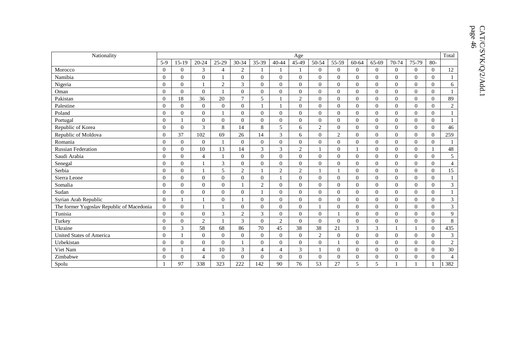| Nationality                               | Age              |                |                |                |                |                |                |                |                |                |                |                |          |                |                | Total          |
|-------------------------------------------|------------------|----------------|----------------|----------------|----------------|----------------|----------------|----------------|----------------|----------------|----------------|----------------|----------|----------------|----------------|----------------|
|                                           | $5-9$            | $15-19$        | 20-24          | 25-29          | 30-34          | 35-39          | $40 - 44$      | 45-49          | 50-54          | 55-59          | 60-64          | 65-69          | 70-74    | 75-79          | 80-            |                |
| Morocco                                   | $\theta$         | $\mathbf{0}$   | $\overline{3}$ | $\overline{4}$ | $\overline{2}$ |                |                |                | $\overline{0}$ | $\Omega$       | $\Omega$       | $\Omega$       | $\Omega$ | $\Omega$       | $\theta$       | 12             |
| Namibia                                   | $\mathbf{0}$     | $\mathbf{0}$   | $\overline{0}$ |                | $\overline{0}$ | $\overline{0}$ | $\Omega$       | $\mathbf{0}$   | $\mathbf{0}$   | $\theta$       | $\Omega$       | $\Omega$       | $\Omega$ | $\Omega$       | $\Omega$       | $\mathbf{1}$   |
| Nigeria                                   | $\overline{0}$   | $\overline{0}$ |                | $\mathbf{2}$   | 3              | $\overline{0}$ | $\overline{0}$ | $\overline{0}$ | $\overline{0}$ | $\Omega$       | $\Omega$       | $\overline{0}$ | $\Omega$ | $\overline{0}$ | $\Omega$       | 6              |
| Oman                                      | $\theta$         | $\overline{0}$ | $\theta$       |                | $\overline{0}$ | $\overline{0}$ | $\Omega$       | $\mathbf{0}$   | $\overline{0}$ | $\theta$       | $\Omega$       | $\Omega$       | $\Omega$ | $\Omega$       | $\Omega$       |                |
| Pakistan                                  | $\theta$         | 18             | 36             | 20             | $\overline{7}$ | 5              |                | 2              | $\overline{0}$ | $\Omega$       | $\Omega$       | $\overline{0}$ | $\Omega$ | $\Omega$       | $\Omega$       | 89             |
| Palestine                                 | $\overline{0}$   | $\overline{0}$ | $\theta$       | $\mathbf{0}$   | $\overline{0}$ |                |                | $\overline{0}$ | $\overline{0}$ | $\mathbf{0}$   | $\Omega$       | $\Omega$       | $\Omega$ | $\Omega$       | $\Omega$       | 2              |
| Poland                                    | $\overline{0}$   | $\overline{0}$ | $\overline{0}$ |                | $\overline{0}$ | $\overline{0}$ | $\overline{0}$ | $\overline{0}$ | $\overline{0}$ | $\overline{0}$ | $\Omega$       | $\overline{0}$ | $\Omega$ | $\Omega$       | $\Omega$       |                |
| Portugal                                  | $\mathbf{0}$     | 1              | $\Omega$       | $\mathbf{0}$   | $\overline{0}$ | $\overline{0}$ | $\mathbf{0}$   | $\overline{0}$ | $\overline{0}$ | $\theta$       | $\Omega$       | $\overline{0}$ | $\Omega$ | $\Omega$       | $\overline{0}$ |                |
| Republic of Korea                         | $\mathbf{0}$     | $\overline{0}$ | 3              | $\,8\,$        | 14             | $\,8\,$        | 5              | 6              | $\mathbf{2}$   | $\theta$       | $\theta$       | $\overline{0}$ | $\Omega$ | $\overline{0}$ | $\mathbf{0}$   | 46             |
| Republic of Moldova                       | $\boldsymbol{0}$ | 37             | 102            | 69             | 26             | 14             | 3              | 6              | $\overline{0}$ | $\overline{2}$ | $\theta$       | $\Omega$       | $\Omega$ | $\overline{0}$ | $\overline{0}$ | 259            |
| Romania                                   | $\mathbf{0}$     | $\overline{0}$ | $\overline{0}$ |                | $\overline{0}$ | $\overline{0}$ | $\overline{0}$ | $\overline{0}$ | $\overline{0}$ | $\mathbf{0}$   | $\theta$       | $\overline{0}$ | $\Omega$ | $\overline{0}$ | $\mathbf{0}$   |                |
| <b>Russian Federation</b>                 | $\theta$         | $\overline{0}$ | 10             | 13             | 14             | 3              | 3              | 2              |                | $\Omega$       |                | $\Omega$       | $\Omega$ | $\Omega$       |                | 48             |
| Saudi Arabia                              | $\overline{0}$   | $\overline{0}$ | $\overline{4}$ |                | $\mathbf{0}$   | $\mathbf{0}$   | $\overline{0}$ | $\overline{0}$ | $\overline{0}$ | $\theta$       | $\Omega$       | $\overline{0}$ | $\Omega$ | $\Omega$       | $\Omega$       | 5              |
| Senegal                                   | $\mathbf{0}$     | $\mathbf{0}$   |                | 3              | $\overline{0}$ | $\overline{0}$ | $\mathbf{0}$   | $\Omega$       | $\overline{0}$ | $\Omega$       | $\theta$       | $\Omega$       | $\Omega$ | $\Omega$       | $\Omega$       | $\overline{4}$ |
| Serbia                                    | $\theta$         | $\overline{0}$ |                | 5              | $\overline{2}$ |                | $\overline{2}$ | $\sqrt{2}$     |                |                | $\Omega$       | $\Omega$       | $\Omega$ | $\Omega$       | $\Omega$       | 15             |
| Sierra Leone                              | $\theta$         | $\overline{0}$ | $\Omega$       | $\overline{0}$ | $\overline{0}$ | $\overline{0}$ |                | $\Omega$       | $\overline{0}$ | $\Omega$       | $\Omega$       | $\Omega$       | $\Omega$ | $\Omega$       | $\Omega$       |                |
| Somalia                                   | $\overline{0}$   | $\overline{0}$ | $\overline{0}$ | $\mathbf{0}$   |                | 2              | $\overline{0}$ | $\overline{0}$ | $\overline{0}$ | $\overline{0}$ | $\theta$       | $\overline{0}$ | $\Omega$ | $\overline{0}$ | $\overline{0}$ | 3              |
| Sudan                                     | $\overline{0}$   | $\overline{0}$ | $\overline{0}$ | $\mathbf{0}$   | $\overline{0}$ |                | $\overline{0}$ | $\overline{0}$ | $\overline{0}$ | $\Omega$       | $\theta$       | $\overline{0}$ | $\Omega$ | $\overline{0}$ | $\mathbf{0}$   | $\mathbf{1}$   |
| Syrian Arab Republic                      | $\theta$         | 1              |                | $\Omega$       |                | $\Omega$       | $\Omega$       | $\Omega$       | $\overline{0}$ | $\theta$       | $\Omega$       | $\Omega$       | $\Omega$ | $\Omega$       | $\Omega$       | 3              |
| The former Yugoslav Republic of Macedonia | $\overline{0}$   | $\overline{0}$ |                | $\mathbf{1}$   | $\overline{0}$ | $\overline{0}$ | $\Omega$       | $\overline{0}$ | 1              | $\theta$       | $\Omega$       | $\overline{0}$ | $\Omega$ | $\Omega$       | $\Omega$       | $\mathfrak{Z}$ |
| Tunisia                                   | $\overline{0}$   | $\overline{0}$ | $\overline{0}$ | 3              | 2              | 3              | $\overline{0}$ | $\mathbf{0}$   | $\overline{0}$ |                | $\Omega$       | $\overline{0}$ | $\Omega$ | $\Omega$       | $\overline{0}$ | 9              |
| Turkey                                    | $\overline{0}$   | $\overline{0}$ | 2              |                | $\mathfrak{Z}$ | $\mathbf{0}$   | $\overline{2}$ | $\overline{0}$ | $\overline{0}$ | $\mathbf{0}$   | $\theta$       | $\overline{0}$ | $\Omega$ | $\overline{0}$ | $\Omega$       | $8\,$          |
| Ukraine                                   | $\overline{0}$   | $\mathfrak{Z}$ | 58             | 68             | 86             | 70             | 45             | 38             | 38             | 21             | $\mathfrak{Z}$ | 3              |          | $\mathbf{1}$   | $\overline{0}$ | 435            |
| United States of America                  | $\overline{0}$   | $\mathbf{1}$   | $\overline{0}$ | $\overline{0}$ | $\overline{0}$ | $\overline{0}$ | $\mathbf{0}$   | $\mathbf{0}$   | $\overline{2}$ | $\mathbf{0}$   | $\theta$       | $\overline{0}$ | $\theta$ | $\overline{0}$ | $\Omega$       | 3              |
| Uzbekistan                                | $\mathbf{0}$     | $\mathbf{0}$   | $\Omega$       | $\mathbf{0}$   |                | $\theta$       | $\mathbf{0}$   | $\mathbf{0}$   | $\overline{0}$ |                | $\theta$       | $\overline{0}$ | $\Omega$ | $\Omega$       | $\overline{0}$ | $\overline{2}$ |
| Viet Nam                                  | $\theta$         | 1              | $\overline{4}$ | 10             | 3              | $\overline{4}$ | $\overline{4}$ | 3              |                | $\Omega$       | $\Omega$       | $\Omega$       | $\Omega$ | $\Omega$       | $\Omega$       | 30             |
| Zimbabwe                                  | $\mathbf{0}$     | $\mathbf{0}$   | $\overline{4}$ | $\Omega$       | $\theta$       | $\overline{0}$ | $\Omega$       | $\Omega$       | $\overline{0}$ | $\Omega$       | $\theta$       | $\Omega$       | $\Omega$ | $\Omega$       | $\Omega$       | $\overline{4}$ |
| Spolu                                     |                  | 97             | 338            | 323            | 222            | 142            | 90             | 76             | 53             | 27             | 5              | 5              |          | 1              |                | 382            |